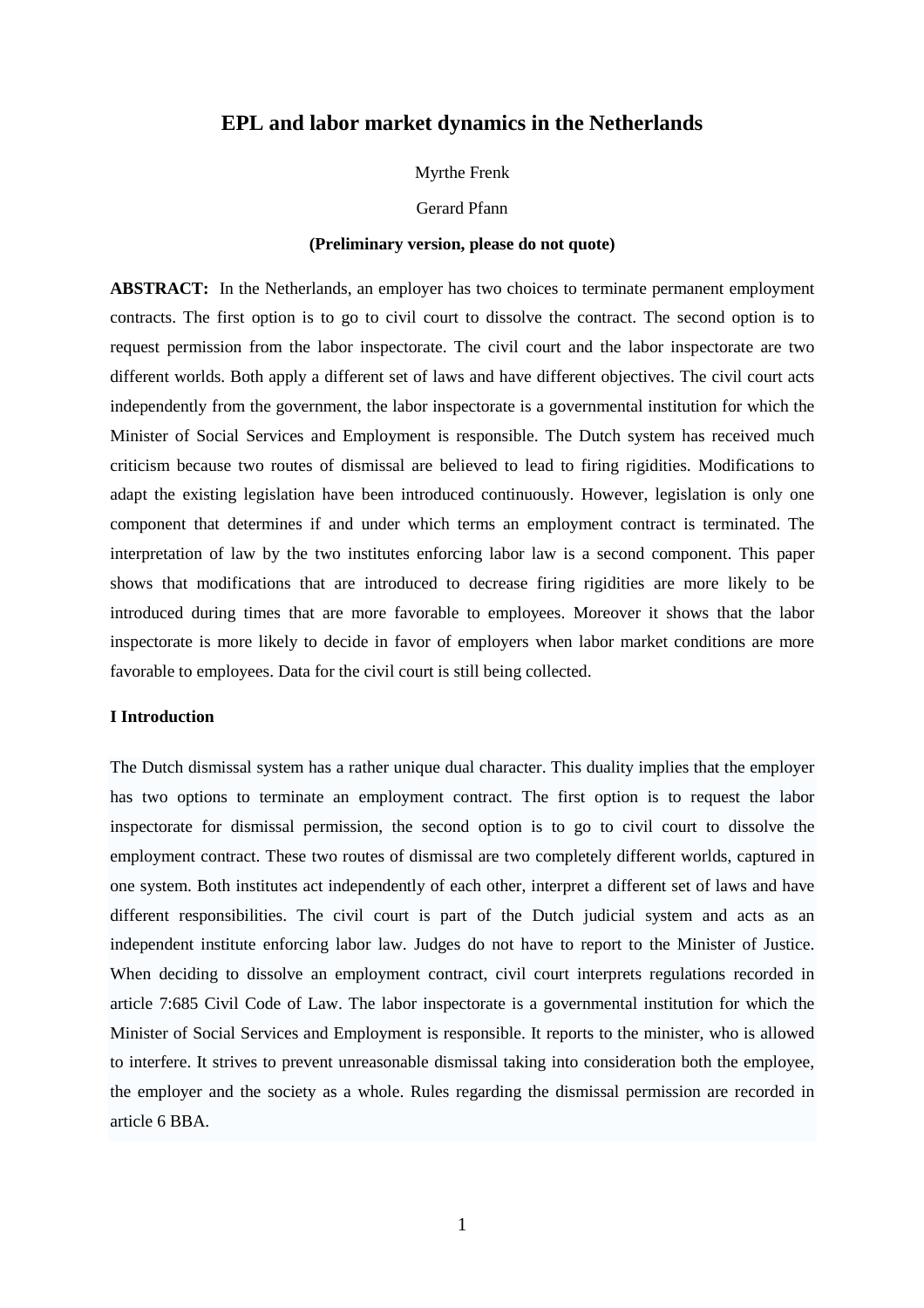## **EPL and labor market dynamics in the Netherlands**

Myrthe Frenk

Gerard Pfann

#### **(Preliminary version, please do not quote)**

**ABSTRACT:** In the Netherlands, an employer has two choices to terminate permanent employment contracts. The first option is to go to civil court to dissolve the contract. The second option is to request permission from the labor inspectorate. The civil court and the labor inspectorate are two different worlds. Both apply a different set of laws and have different objectives. The civil court acts independently from the government, the labor inspectorate is a governmental institution for which the Minister of Social Services and Employment is responsible. The Dutch system has received much criticism because two routes of dismissal are believed to lead to firing rigidities. Modifications to adapt the existing legislation have been introduced continuously. However, legislation is only one component that determines if and under which terms an employment contract is terminated. The interpretation of law by the two institutes enforcing labor law is a second component. This paper shows that modifications that are introduced to decrease firing rigidities are more likely to be introduced during times that are more favorable to employees. Moreover it shows that the labor inspectorate is more likely to decide in favor of employers when labor market conditions are more favorable to employees. Data for the civil court is still being collected.

### **I Introduction**

The Dutch dismissal system has a rather unique dual character. This duality implies that the employer has two options to terminate an employment contract. The first option is to request the labor inspectorate for dismissal permission, the second option is to go to civil court to dissolve the employment contract. These two routes of dismissal are two completely different worlds, captured in one system. Both institutes act independently of each other, interpret a different set of laws and have different responsibilities. The civil court is part of the Dutch judicial system and acts as an independent institute enforcing labor law. Judges do not have to report to the Minister of Justice. When deciding to dissolve an employment contract, civil court interprets regulations recorded in article 7:685 Civil Code of Law. The labor inspectorate is a governmental institution for which the Minister of Social Services and Employment is responsible. It reports to the minister, who is allowed to interfere. It strives to prevent unreasonable dismissal taking into consideration both the employee, the employer and the society as a whole. Rules regarding the dismissal permission are recorded in article 6 BBA.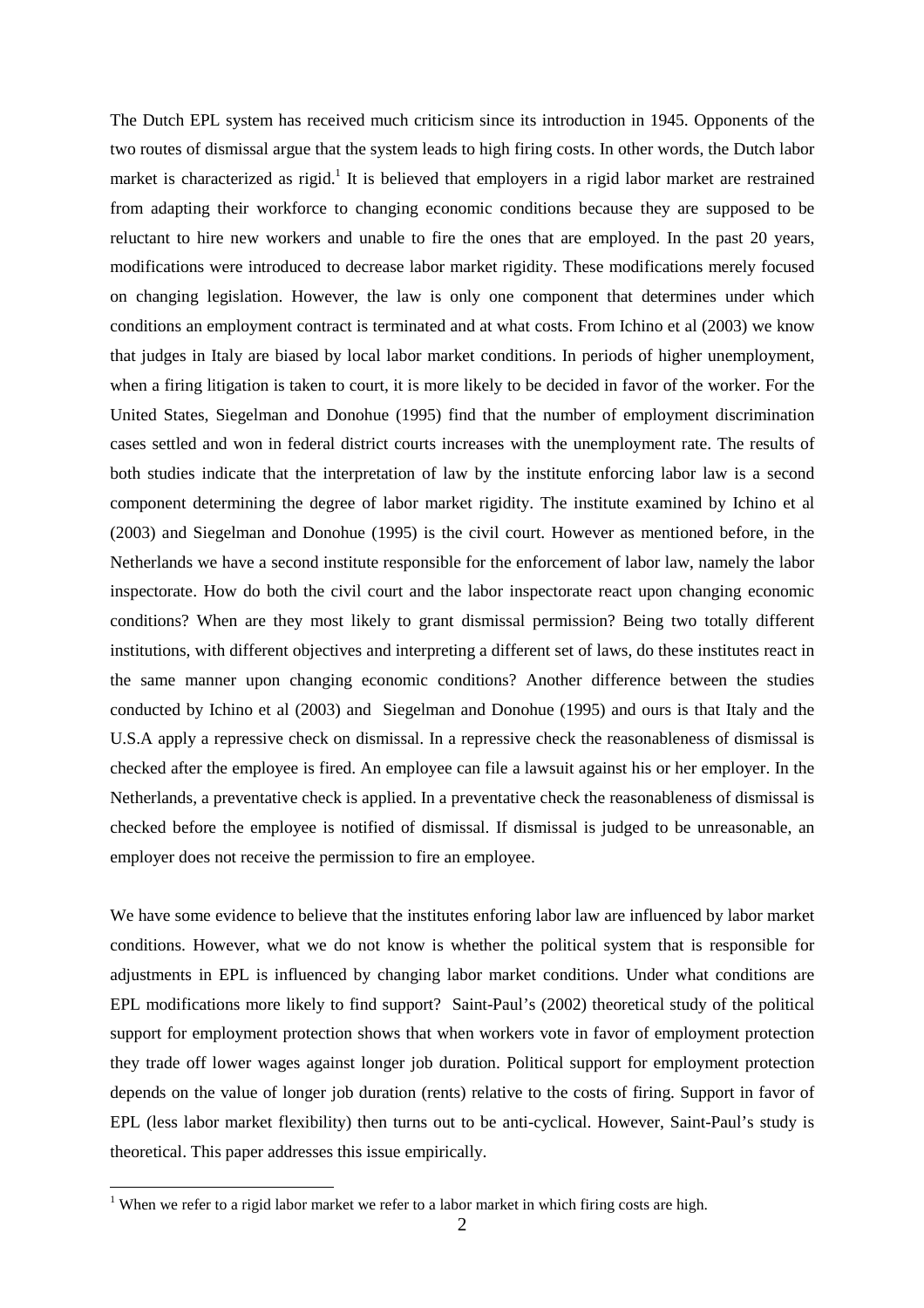The Dutch EPL system has received much criticism since its introduction in 1945. Opponents of the two routes of dismissal argue that the system leads to high firing costs. In other words, the Dutch labor market is characterized as rigid.<sup>1</sup> It is believed that employers in a rigid labor market are restrained from adapting their workforce to changing economic conditions because they are supposed to be reluctant to hire new workers and unable to fire the ones that are employed. In the past 20 years, modifications were introduced to decrease labor market rigidity. These modifications merely focused on changing legislation. However, the law is only one component that determines under which conditions an employment contract is terminated and at what costs. From Ichino et al (2003) we know that judges in Italy are biased by local labor market conditions. In periods of higher unemployment, when a firing litigation is taken to court, it is more likely to be decided in favor of the worker. For the United States, Siegelman and Donohue (1995) find that the number of employment discrimination cases settled and won in federal district courts increases with the unemployment rate. The results of both studies indicate that the interpretation of law by the institute enforcing labor law is a second component determining the degree of labor market rigidity. The institute examined by Ichino et al (2003) and Siegelman and Donohue (1995) is the civil court. However as mentioned before, in the Netherlands we have a second institute responsible for the enforcement of labor law, namely the labor inspectorate. How do both the civil court and the labor inspectorate react upon changing economic conditions? When are they most likely to grant dismissal permission? Being two totally different institutions, with different objectives and interpreting a different set of laws, do these institutes react in the same manner upon changing economic conditions? Another difference between the studies conducted by Ichino et al (2003) and Siegelman and Donohue (1995) and ours is that Italy and the U.S.A apply a repressive check on dismissal. In a repressive check the reasonableness of dismissal is checked after the employee is fired. An employee can file a lawsuit against his or her employer. In the Netherlands, a preventative check is applied. In a preventative check the reasonableness of dismissal is checked before the employee is notified of dismissal. If dismissal is judged to be unreasonable, an employer does not receive the permission to fire an employee.

We have some evidence to believe that the institutes enforing labor law are influenced by labor market conditions. However, what we do not know is whether the political system that is responsible for adjustments in EPL is influenced by changing labor market conditions. Under what conditions are EPL modifications more likely to find support? Saint-Paul's (2002) theoretical study of the political support for employment protection shows that when workers vote in favor of employment protection they trade off lower wages against longer job duration. Political support for employment protection depends on the value of longer job duration (rents) relative to the costs of firing. Support in favor of EPL (less labor market flexibility) then turns out to be anti-cyclical. However, Saint-Paul's study is theoretical. This paper addresses this issue empirically.

l

<sup>&</sup>lt;sup>1</sup> When we refer to a rigid labor market we refer to a labor market in which firing costs are high.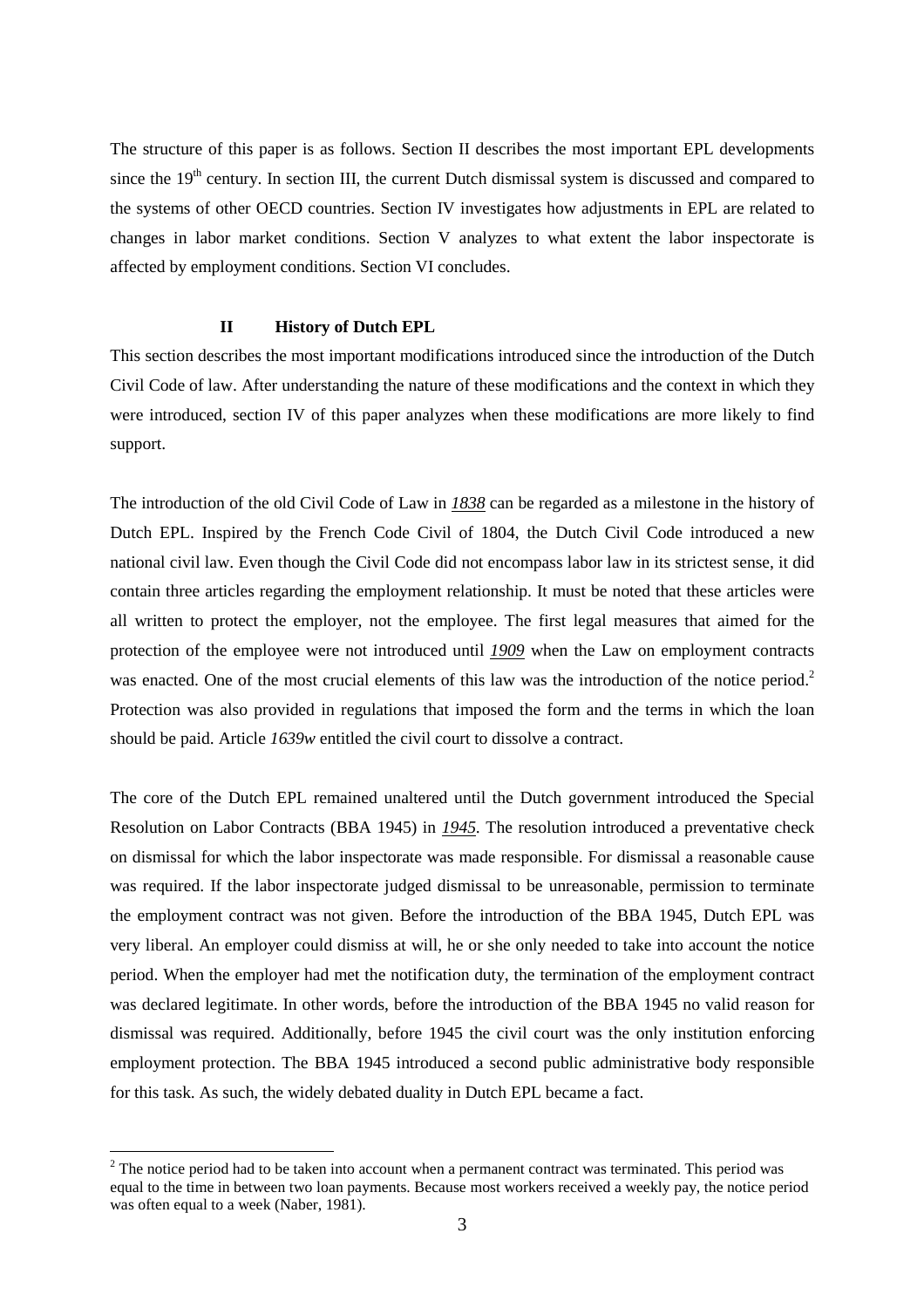The structure of this paper is as follows. Section II describes the most important EPL developments since the  $19<sup>th</sup>$  century. In section III, the current Dutch dismissal system is discussed and compared to the systems of other OECD countries. Section IV investigates how adjustments in EPL are related to changes in labor market conditions. Section V analyzes to what extent the labor inspectorate is affected by employment conditions. Section VI concludes.

### **II History of Dutch EPL**

This section describes the most important modifications introduced since the introduction of the Dutch Civil Code of law. After understanding the nature of these modifications and the context in which they were introduced, section IV of this paper analyzes when these modifications are more likely to find support.

The introduction of the old Civil Code of Law in *1838* can be regarded as a milestone in the history of Dutch EPL. Inspired by the French Code Civil of 1804, the Dutch Civil Code introduced a new national civil law. Even though the Civil Code did not encompass labor law in its strictest sense, it did contain three articles regarding the employment relationship. It must be noted that these articles were all written to protect the employer, not the employee. The first legal measures that aimed for the protection of the employee were not introduced until *1909* when the Law on employment contracts was enacted. One of the most crucial elements of this law was the introduction of the notice period.<sup>2</sup> Protection was also provided in regulations that imposed the form and the terms in which the loan should be paid. Article *1639w* entitled the civil court to dissolve a contract.

The core of the Dutch EPL remained unaltered until the Dutch government introduced the Special Resolution on Labor Contracts (BBA 1945) in *1945*. The resolution introduced a preventative check on dismissal for which the labor inspectorate was made responsible. For dismissal a reasonable cause was required. If the labor inspectorate judged dismissal to be unreasonable, permission to terminate the employment contract was not given. Before the introduction of the BBA 1945, Dutch EPL was very liberal. An employer could dismiss at will, he or she only needed to take into account the notice period. When the employer had met the notification duty, the termination of the employment contract was declared legitimate. In other words, before the introduction of the BBA 1945 no valid reason for dismissal was required. Additionally, before 1945 the civil court was the only institution enforcing employment protection. The BBA 1945 introduced a second public administrative body responsible for this task. As such, the widely debated duality in Dutch EPL became a fact.

 $\overline{a}$ 

 $2^{2}$  The notice period had to be taken into account when a permanent contract was terminated. This period was equal to the time in between two loan payments. Because most workers received a weekly pay, the notice period was often equal to a week (Naber, 1981).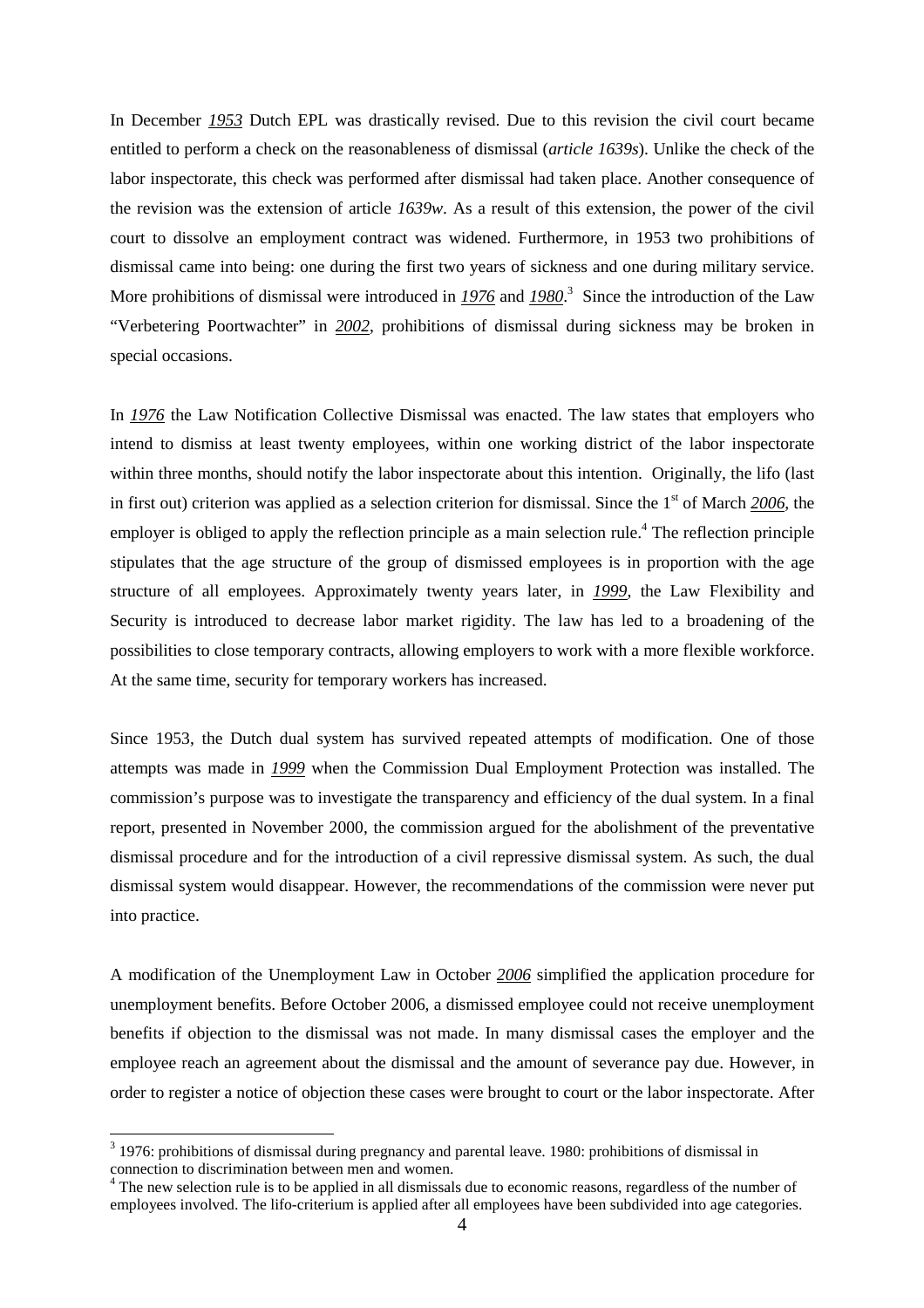In December *1953* Dutch EPL was drastically revised. Due to this revision the civil court became entitled to perform a check on the reasonableness of dismissal (*article 1639s*). Unlike the check of the labor inspectorate, this check was performed after dismissal had taken place. Another consequence of the revision was the extension of article *1639w*. As a result of this extension, the power of the civil court to dissolve an employment contract was widened. Furthermore, in 1953 two prohibitions of dismissal came into being: one during the first two years of sickness and one during military service. More prohibitions of dismissal were introduced in *1976* and *1980*. 3 Since the introduction of the Law "Verbetering Poortwachter" in *2002*, prohibitions of dismissal during sickness may be broken in special occasions.

In *1976* the Law Notification Collective Dismissal was enacted. The law states that employers who intend to dismiss at least twenty employees, within one working district of the labor inspectorate within three months, should notify the labor inspectorate about this intention. Originally, the lifo (last in first out) criterion was applied as a selection criterion for dismissal. Since the 1<sup>st</sup> of March 2006, the employer is obliged to apply the reflection principle as a main selection rule.<sup>4</sup> The reflection principle stipulates that the age structure of the group of dismissed employees is in proportion with the age structure of all employees. Approximately twenty years later, in *1999*, the Law Flexibility and Security is introduced to decrease labor market rigidity. The law has led to a broadening of the possibilities to close temporary contracts, allowing employers to work with a more flexible workforce. At the same time, security for temporary workers has increased.

Since 1953, the Dutch dual system has survived repeated attempts of modification. One of those attempts was made in *1999* when the Commission Dual Employment Protection was installed. The commission's purpose was to investigate the transparency and efficiency of the dual system. In a final report, presented in November 2000, the commission argued for the abolishment of the preventative dismissal procedure and for the introduction of a civil repressive dismissal system. As such, the dual dismissal system would disappear. However, the recommendations of the commission were never put into practice.

A modification of the Unemployment Law in October *2006* simplified the application procedure for unemployment benefits. Before October 2006, a dismissed employee could not receive unemployment benefits if objection to the dismissal was not made. In many dismissal cases the employer and the employee reach an agreement about the dismissal and the amount of severance pay due. However, in order to register a notice of objection these cases were brought to court or the labor inspectorate. After

l

 $3$  1976: prohibitions of dismissal during pregnancy and parental leave. 1980: prohibitions of dismissal in connection to discrimination between men and women.

<sup>&</sup>lt;sup>4</sup> The new selection rule is to be applied in all dismissals due to economic reasons, regardless of the number of employees involved. The lifo-criterium is applied after all employees have been subdivided into age categories.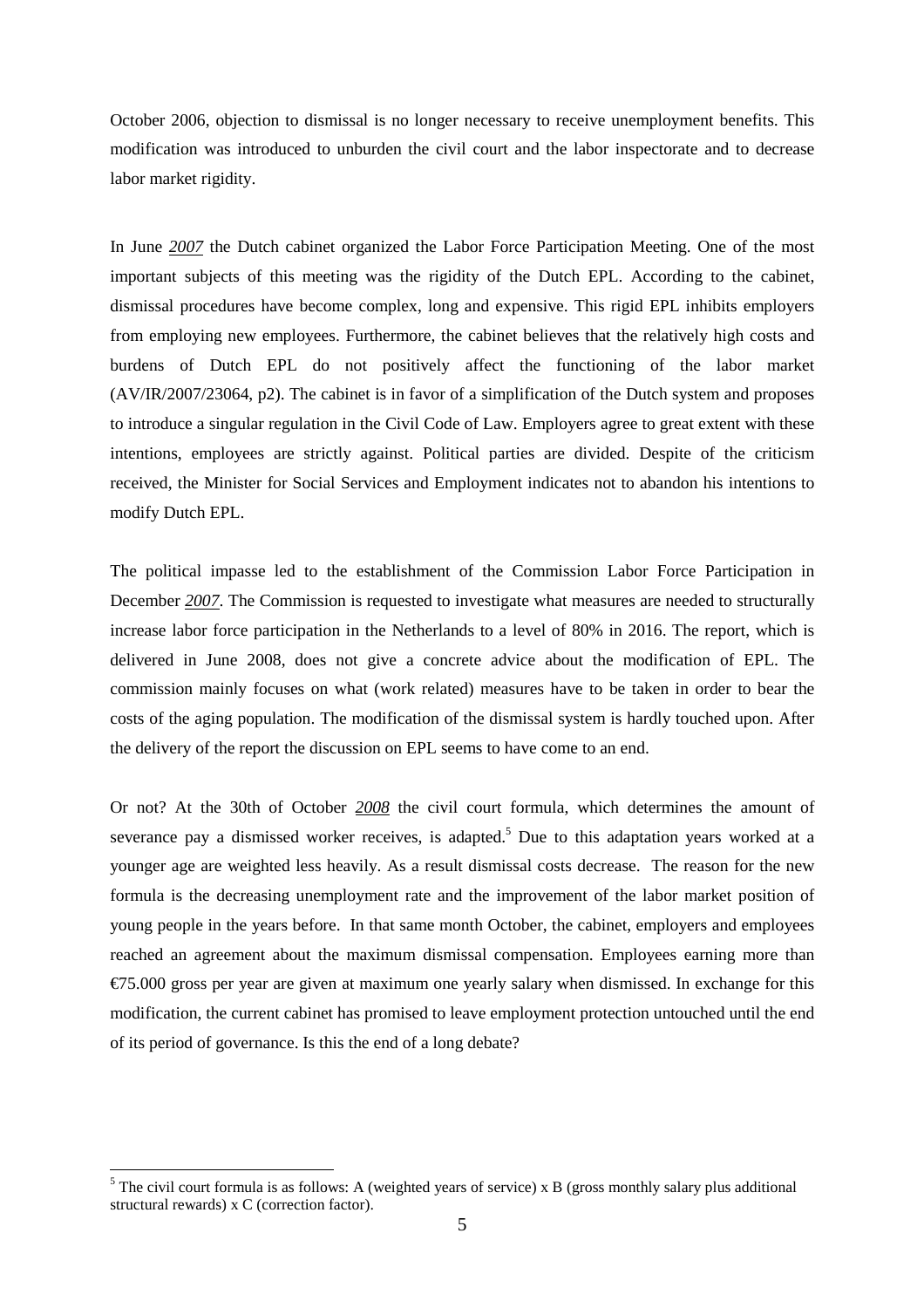October 2006, objection to dismissal is no longer necessary to receive unemployment benefits. This modification was introduced to unburden the civil court and the labor inspectorate and to decrease labor market rigidity.

In June *2007* the Dutch cabinet organized the Labor Force Participation Meeting. One of the most important subjects of this meeting was the rigidity of the Dutch EPL. According to the cabinet, dismissal procedures have become complex, long and expensive. This rigid EPL inhibits employers from employing new employees. Furthermore, the cabinet believes that the relatively high costs and burdens of Dutch EPL do not positively affect the functioning of the labor market (AV/IR/2007/23064, p2). The cabinet is in favor of a simplification of the Dutch system and proposes to introduce a singular regulation in the Civil Code of Law. Employers agree to great extent with these intentions, employees are strictly against. Political parties are divided. Despite of the criticism received, the Minister for Social Services and Employment indicates not to abandon his intentions to modify Dutch EPL.

The political impasse led to the establishment of the Commission Labor Force Participation in December *2007*. The Commission is requested to investigate what measures are needed to structurally increase labor force participation in the Netherlands to a level of 80% in 2016. The report, which is delivered in June 2008, does not give a concrete advice about the modification of EPL. The commission mainly focuses on what (work related) measures have to be taken in order to bear the costs of the aging population. The modification of the dismissal system is hardly touched upon. After the delivery of the report the discussion on EPL seems to have come to an end.

Or not? At the 30th of October *2008* the civil court formula, which determines the amount of severance pay a dismissed worker receives, is adapted.<sup>5</sup> Due to this adaptation years worked at a younger age are weighted less heavily. As a result dismissal costs decrease. The reason for the new formula is the decreasing unemployment rate and the improvement of the labor market position of young people in the years before. In that same month October, the cabinet, employers and employees reached an agreement about the maximum dismissal compensation. Employees earning more than  $\epsilon$ 75.000 gross per year are given at maximum one yearly salary when dismissed. In exchange for this modification, the current cabinet has promised to leave employment protection untouched until the end of its period of governance. Is this the end of a long debate?

 $\overline{a}$ 

 $<sup>5</sup>$  The civil court formula is as follows: A (weighted years of service) x B (gross monthly salary plus additional</sup> structural rewards) x C (correction factor).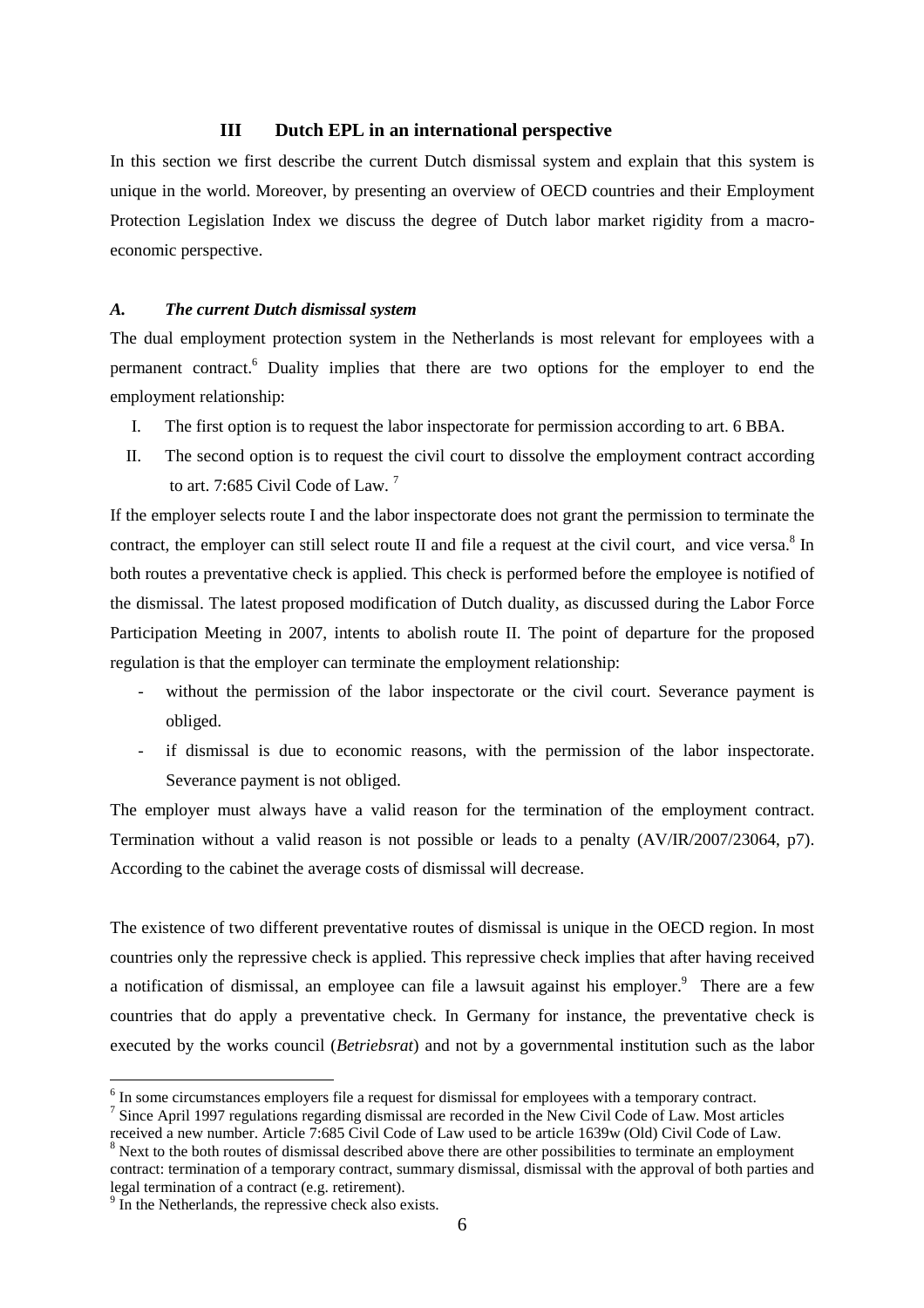### **III Dutch EPL in an international perspective**

In this section we first describe the current Dutch dismissal system and explain that this system is unique in the world. Moreover, by presenting an overview of OECD countries and their Employment Protection Legislation Index we discuss the degree of Dutch labor market rigidity from a macroeconomic perspective.

### *A. The current Dutch dismissal system*

The dual employment protection system in the Netherlands is most relevant for employees with a permanent contract.<sup>6</sup> Duality implies that there are two options for the employer to end the employment relationship:

- I. The first option is to request the labor inspectorate for permission according to art. 6 BBA.
- II. The second option is to request the civil court to dissolve the employment contract according to art. 7:685 Civil Code of Law.<sup>7</sup>

If the employer selects route I and the labor inspectorate does not grant the permission to terminate the contract, the employer can still select route II and file a request at the civil court, and vice versa.<sup>8</sup> In both routes a preventative check is applied. This check is performed before the employee is notified of the dismissal. The latest proposed modification of Dutch duality, as discussed during the Labor Force Participation Meeting in 2007, intents to abolish route II. The point of departure for the proposed regulation is that the employer can terminate the employment relationship:

- without the permission of the labor inspectorate or the civil court. Severance payment is obliged.
- if dismissal is due to economic reasons, with the permission of the labor inspectorate. Severance payment is not obliged.

The employer must always have a valid reason for the termination of the employment contract. Termination without a valid reason is not possible or leads to a penalty (AV/IR/2007/23064, p7). According to the cabinet the average costs of dismissal will decrease.

The existence of two different preventative routes of dismissal is unique in the OECD region. In most countries only the repressive check is applied. This repressive check implies that after having received a notification of dismissal, an employee can file a lawsuit against his employer.<sup>9</sup> There are a few countries that do apply a preventative check. In Germany for instance, the preventative check is executed by the works council (*Betriebsrat*) and not by a governmental institution such as the labor

l

<sup>&</sup>lt;sup>6</sup> In some circumstances employers file a request for dismissal for employees with a temporary contract.

<sup>&</sup>lt;sup>7</sup> Since April 1997 regulations regarding dismissal are recorded in the New Civil Code of Law. Most articles received a new number. Article 7:685 Civil Code of Law used to be article 1639w (Old) Civil Code of Law.

 $8$  Next to the both routes of dismissal described above there are other possibilities to terminate an employment contract: termination of a temporary contract, summary dismissal, dismissal with the approval of both parties and legal termination of a contract (e.g. retirement).

<sup>&</sup>lt;sup>9</sup> In the Netherlands, the repressive check also exists.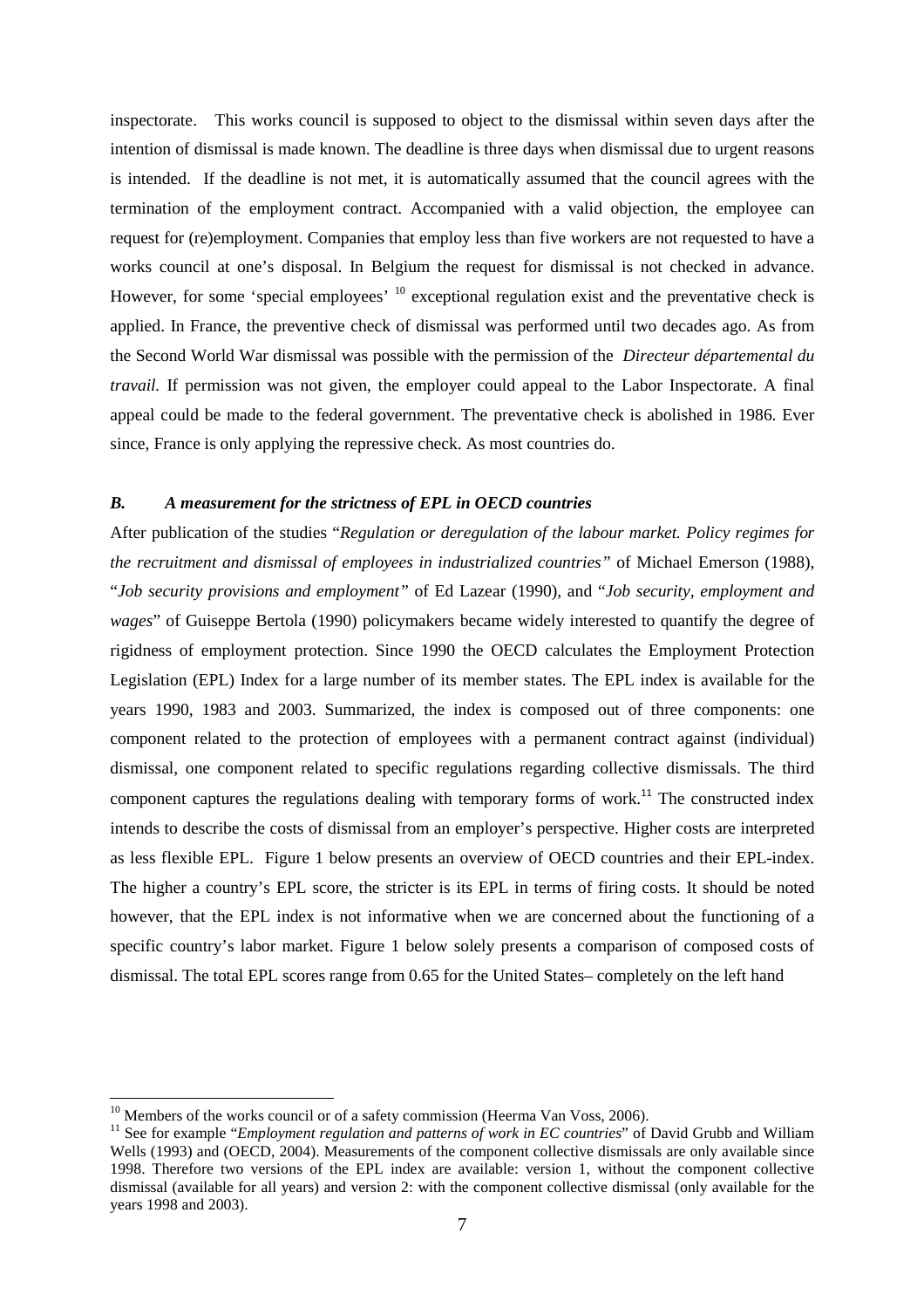inspectorate. This works council is supposed to object to the dismissal within seven days after the intention of dismissal is made known. The deadline is three days when dismissal due to urgent reasons is intended. If the deadline is not met, it is automatically assumed that the council agrees with the termination of the employment contract. Accompanied with a valid objection, the employee can request for (re)employment. Companies that employ less than five workers are not requested to have a works council at one's disposal. In Belgium the request for dismissal is not checked in advance. However, for some 'special employees' <sup>10</sup> exceptional regulation exist and the preventative check is applied. In France, the preventive check of dismissal was performed until two decades ago. As from the Second World War dismissal was possible with the permission of the *Directeur départemental du travail.* If permission was not given, the employer could appeal to the Labor Inspectorate. A final appeal could be made to the federal government. The preventative check is abolished in 1986. Ever since, France is only applying the repressive check. As most countries do.

## *B. A measurement for the strictness of EPL in OECD countries*

After publication of the studies "*Regulation or deregulation of the labour market. Policy regimes for the recruitment and dismissal of employees in industrialized countries"* of Michael Emerson (1988), "*Job security provisions and employment"* of Ed Lazear (1990), and "*Job security, employment and wages*" of Guiseppe Bertola (1990) policymakers became widely interested to quantify the degree of rigidness of employment protection. Since 1990 the OECD calculates the Employment Protection Legislation (EPL) Index for a large number of its member states. The EPL index is available for the years 1990, 1983 and 2003. Summarized, the index is composed out of three components: one component related to the protection of employees with a permanent contract against (individual) dismissal, one component related to specific regulations regarding collective dismissals. The third component captures the regulations dealing with temporary forms of work.<sup>11</sup> The constructed index intends to describe the costs of dismissal from an employer's perspective. Higher costs are interpreted as less flexible EPL. Figure 1 below presents an overview of OECD countries and their EPL-index. The higher a country's EPL score, the stricter is its EPL in terms of firing costs. It should be noted however, that the EPL index is not informative when we are concerned about the functioning of a specific country's labor market. Figure 1 below solely presents a comparison of composed costs of dismissal. The total EPL scores range from 0.65 for the United States– completely on the left hand

 $\overline{a}$ 

 $10$  Members of the works council or of a safety commission (Heerma Van Voss, 2006).

<sup>&</sup>lt;sup>11</sup> See for example "*Employment regulation and patterns of work in EC countries*" of David Grubb and William Wells (1993) and (OECD, 2004). Measurements of the component collective dismissals are only available since 1998. Therefore two versions of the EPL index are available: version 1, without the component collective dismissal (available for all years) and version 2: with the component collective dismissal (only available for the years 1998 and 2003).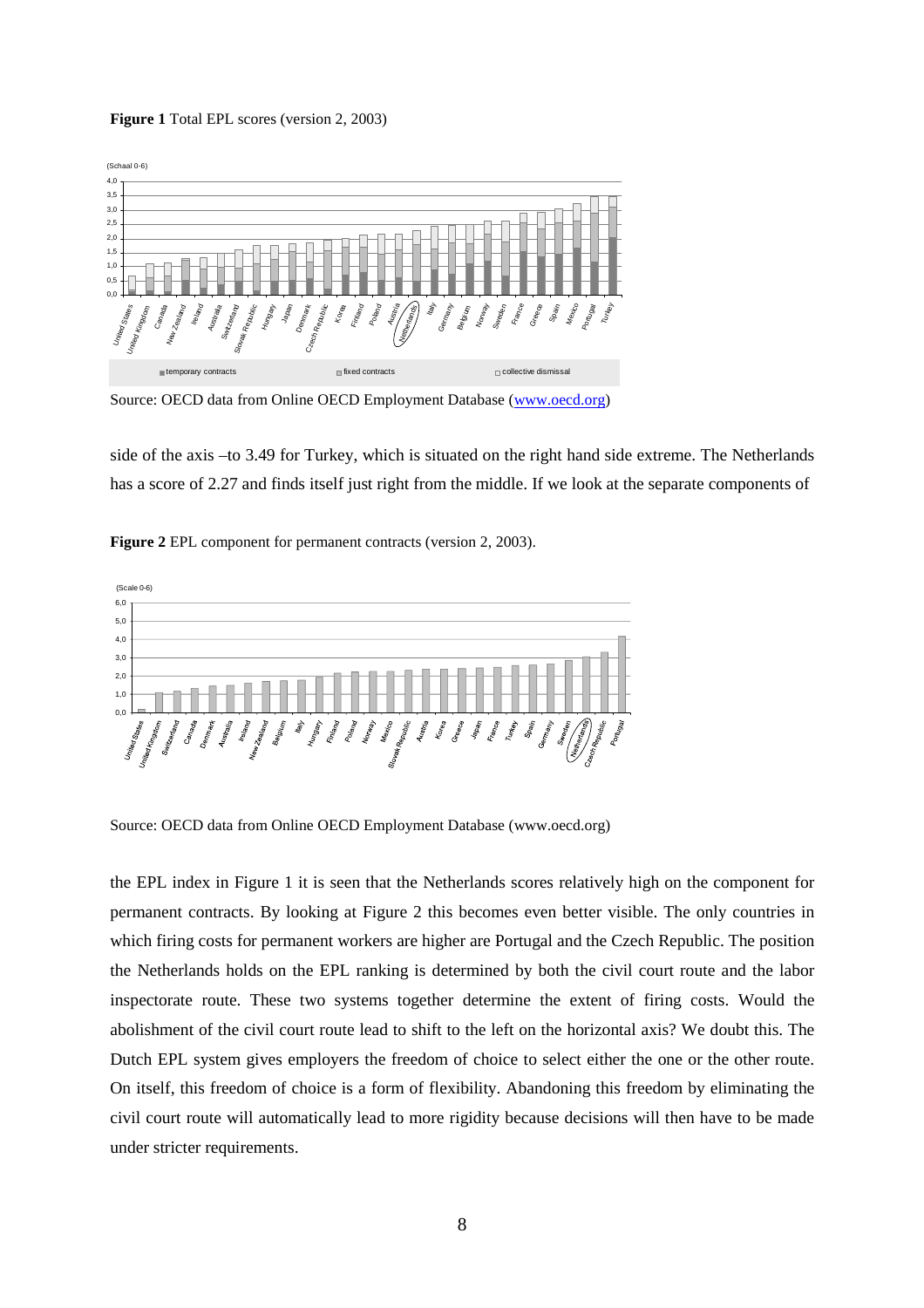#### **Figure 1** Total EPL scores (version 2, 2003)



Source: OECD data from Online OECD Employment Database (www.oecd.org)

side of the axis –to 3.49 for Turkey, which is situated on the right hand side extreme. The Netherlands has a score of 2.27 and finds itself just right from the middle. If we look at the separate components of

**Figure 2** EPL component for permanent contracts (version 2, 2003).



Source: OECD data from Online OECD Employment Database (www.oecd.org)

the EPL index in Figure 1 it is seen that the Netherlands scores relatively high on the component for permanent contracts. By looking at Figure 2 this becomes even better visible. The only countries in which firing costs for permanent workers are higher are Portugal and the Czech Republic. The position the Netherlands holds on the EPL ranking is determined by both the civil court route and the labor inspectorate route. These two systems together determine the extent of firing costs. Would the abolishment of the civil court route lead to shift to the left on the horizontal axis? We doubt this. The Dutch EPL system gives employers the freedom of choice to select either the one or the other route. On itself, this freedom of choice is a form of flexibility. Abandoning this freedom by eliminating the civil court route will automatically lead to more rigidity because decisions will then have to be made under stricter requirements.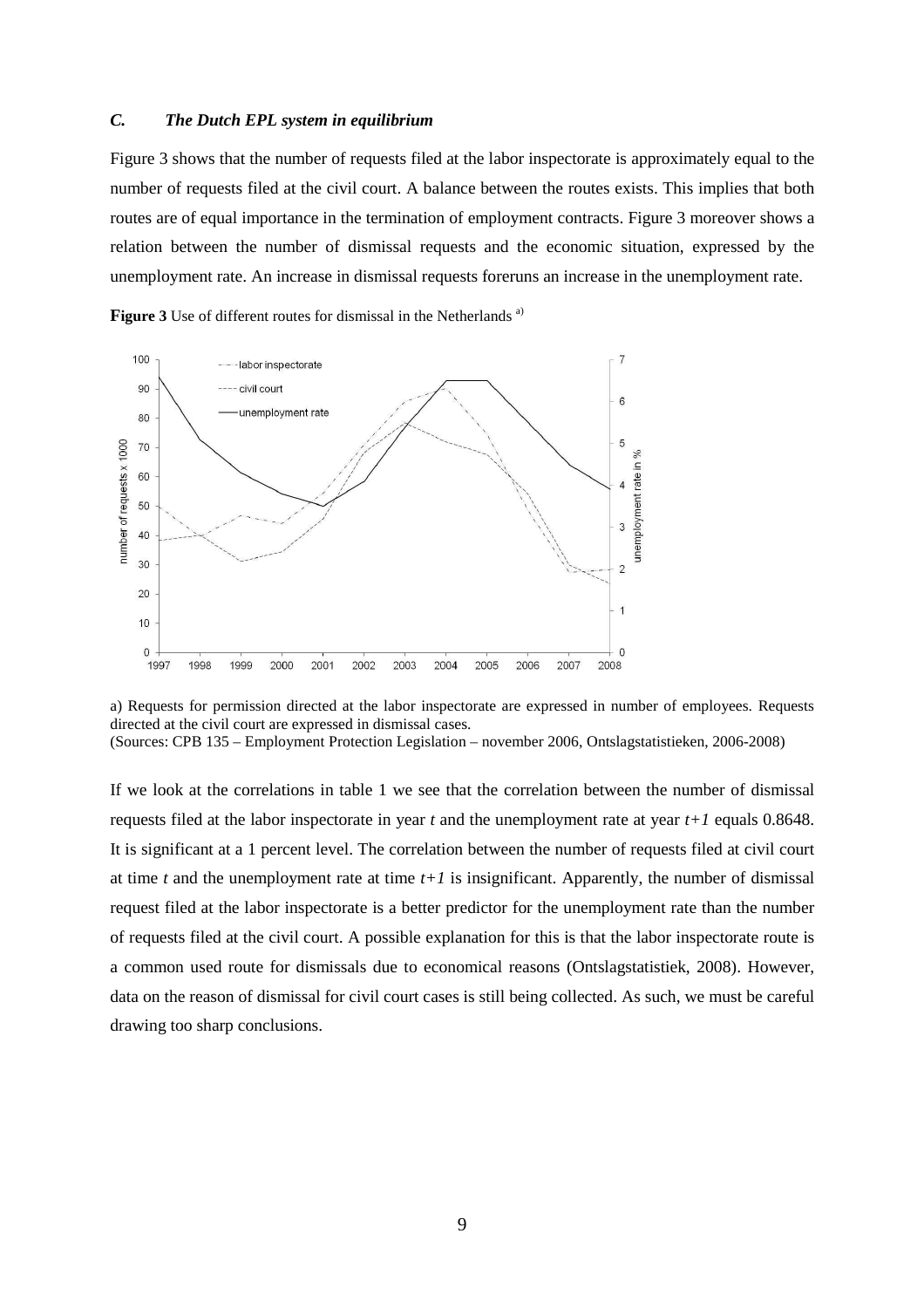## *C. The Dutch EPL system in equilibrium*

Figure 3 shows that the number of requests filed at the labor inspectorate is approximately equal to the number of requests filed at the civil court. A balance between the routes exists. This implies that both routes are of equal importance in the termination of employment contracts. Figure 3 moreover shows a relation between the number of dismissal requests and the economic situation, expressed by the unemployment rate. An increase in dismissal requests foreruns an increase in the unemployment rate.

**Figure 3** Use of different routes for dismissal in the Netherlands<sup>a)</sup>



a) Requests for permission directed at the labor inspectorate are expressed in number of employees. Requests directed at the civil court are expressed in dismissal cases. (Sources: CPB 135 – Employment Protection Legislation – november 2006, Ontslagstatistieken, 2006-2008)

If we look at the correlations in table 1 we see that the correlation between the number of dismissal requests filed at the labor inspectorate in year *t* and the unemployment rate at year *t+1* equals 0.8648. It is significant at a 1 percent level. The correlation between the number of requests filed at civil court at time  $t$  and the unemployment rate at time  $t+1$  is insignificant. Apparently, the number of dismissal request filed at the labor inspectorate is a better predictor for the unemployment rate than the number of requests filed at the civil court. A possible explanation for this is that the labor inspectorate route is a common used route for dismissals due to economical reasons (Ontslagstatistiek, 2008). However, data on the reason of dismissal for civil court cases is still being collected. As such, we must be careful drawing too sharp conclusions.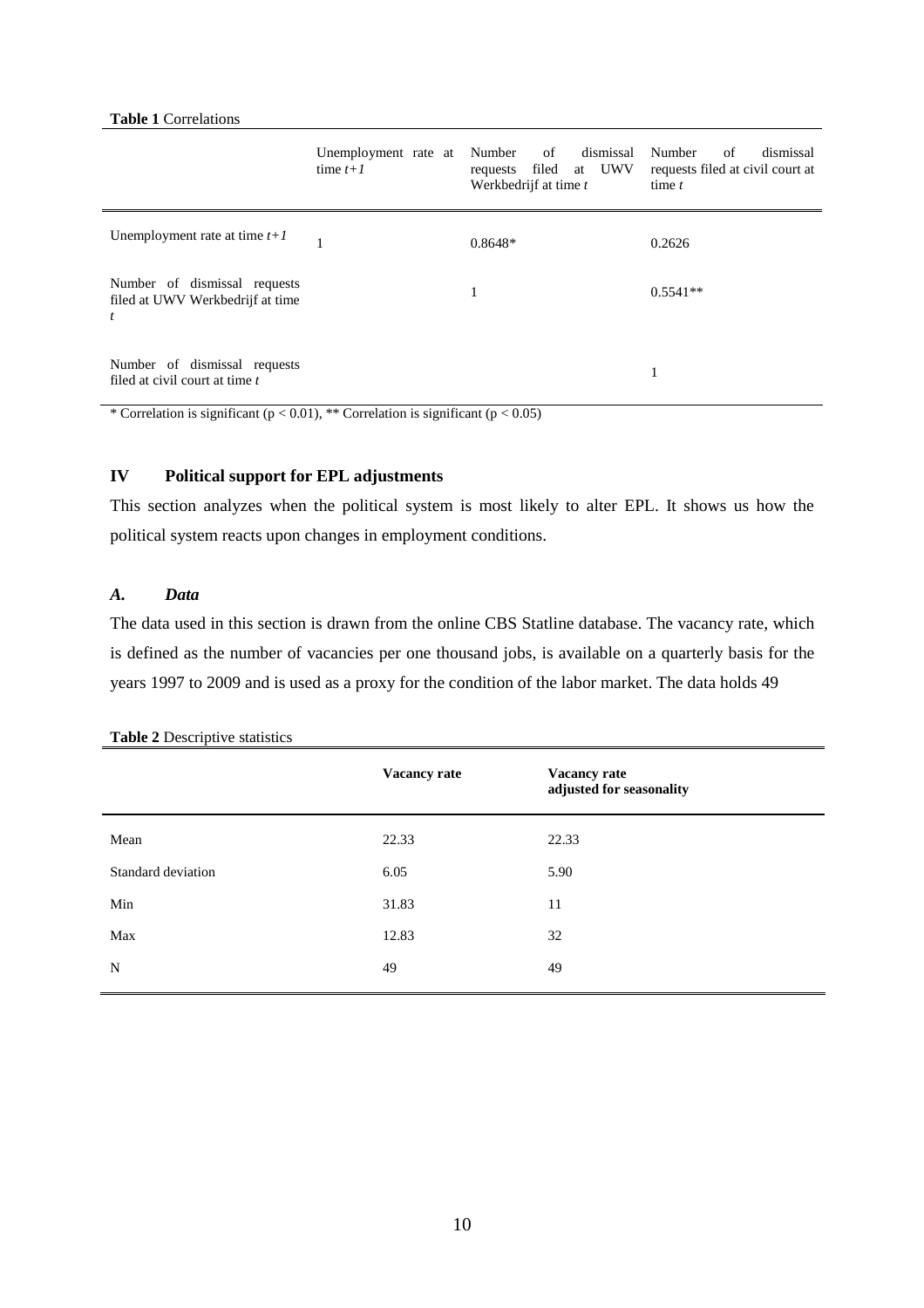### **Table 1** Correlations

|                                                                                    | Unemployment rate at Number<br>time $t+1$ | dismissal<br>of<br>requests filed at UWV<br>Werkbedrijf at time t | Number<br>dismissal<br>of<br>requests filed at civil court at<br>time $t$ |
|------------------------------------------------------------------------------------|-------------------------------------------|-------------------------------------------------------------------|---------------------------------------------------------------------------|
| Unemployment rate at time $t+1$                                                    |                                           | $0.8648*$                                                         | 0.2626                                                                    |
| Number of dismissal requests<br>filed at UWV Werkbedrijf at time<br>$\mathfrak{t}$ |                                           | 1                                                                 | $0.5541**$                                                                |
| Number of dismissal requests<br>filed at civil court at time t                     |                                           |                                                                   |                                                                           |

\* Correlation is significant ( $p < 0.01$ ), \*\* Correlation is significant ( $p < 0.05$ )

## **IV Political support for EPL adjustments**

This section analyzes when the political system is most likely to alter EPL. It shows us how the political system reacts upon changes in employment conditions.

### *A. Data*

The data used in this section is drawn from the online CBS Statline database. The vacancy rate, which is defined as the number of vacancies per one thousand jobs, is available on a quarterly basis for the years 1997 to 2009 and is used as a proxy for the condition of the labor market. The data holds 49

|                    | <b>Vacancy rate</b> | Vacancy rate<br>adjusted for seasonality |
|--------------------|---------------------|------------------------------------------|
| Mean               | 22.33               | 22.33                                    |
| Standard deviation | 6.05                | 5.90                                     |
| Min                | 31.83               | 11                                       |
| Max                | 12.83               | 32                                       |
| N                  | 49                  | 49                                       |
|                    |                     |                                          |

| Table 2 Descriptive statistics |  |  |
|--------------------------------|--|--|
|--------------------------------|--|--|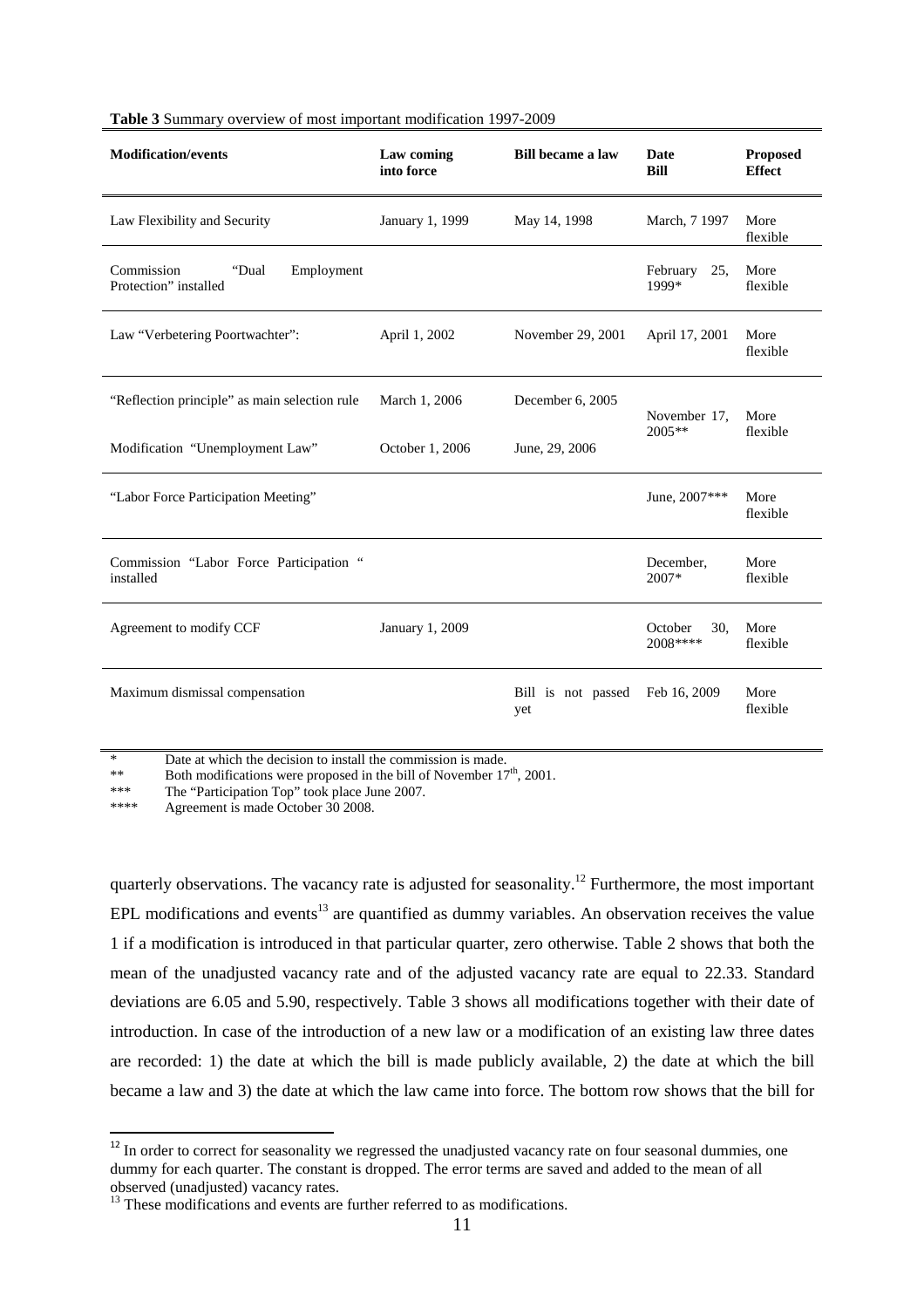| <b>Modification/events</b>                                 | Law coming<br>into force | <b>Bill became a law</b>  | Date<br><b>Bill</b>        | <b>Proposed</b><br><b>Effect</b> |
|------------------------------------------------------------|--------------------------|---------------------------|----------------------------|----------------------------------|
| Law Flexibility and Security                               | January 1, 1999          | May 14, 1998              | March, 7 1997              | More<br>flexible                 |
| Commission<br>Employment<br>"Dual<br>Protection" installed |                          |                           | February<br>25.<br>1999*   | More<br>flexible                 |
| Law "Verbetering Poortwachter":                            | April 1, 2002            | November 29, 2001         | April 17, 2001             | More<br>flexible                 |
| "Reflection principle" as main selection rule              | March 1, 2006            | December 6, 2005          | November 17,               | More<br>flexible                 |
| Modification "Unemployment Law"                            | October 1, 2006          | June, 29, 2006            | 2005**                     |                                  |
| "Labor Force Participation Meeting"                        |                          |                           | June, 2007***              | More<br>flexible                 |
| Commission "Labor Force Participation "<br>installed       |                          |                           | December,<br>$2007*$       | More<br>flexible                 |
| Agreement to modify CCF                                    | January 1, 2009          |                           | October<br>30,<br>2008**** | More<br>flexible                 |
| Maximum dismissal compensation                             |                          | Bill is not passed<br>yet | Feb 16, 2009               | More<br>flexible                 |

Date at which the decision to install the commission is made.

\*\* Both modifications were proposed in the bill of November  $17<sup>th</sup>$ , 2001.<br>\*\*\* The "Participation Top" took place June 2007

\*\*\* The "Participation Top" took place June 2007.<br>\*\*\*\* Agreement is mode October 20,2008

Agreement is made October 30 2008.

l

quarterly observations. The vacancy rate is adjusted for seasonality.<sup>12</sup> Furthermore, the most important EPL modifications and events<sup>13</sup> are quantified as dummy variables. An observation receives the value 1 if a modification is introduced in that particular quarter, zero otherwise. Table 2 shows that both the mean of the unadjusted vacancy rate and of the adjusted vacancy rate are equal to 22.33. Standard deviations are 6.05 and 5.90, respectively. Table 3 shows all modifications together with their date of introduction. In case of the introduction of a new law or a modification of an existing law three dates are recorded: 1) the date at which the bill is made publicly available, 2) the date at which the bill became a law and 3) the date at which the law came into force. The bottom row shows that the bill for

 $12$  In order to correct for seasonality we regressed the unadjusted vacancy rate on four seasonal dummies, one dummy for each quarter. The constant is dropped. The error terms are saved and added to the mean of all observed (unadjusted) vacancy rates.

<sup>&</sup>lt;sup>13</sup> These modifications and events are further referred to as modifications.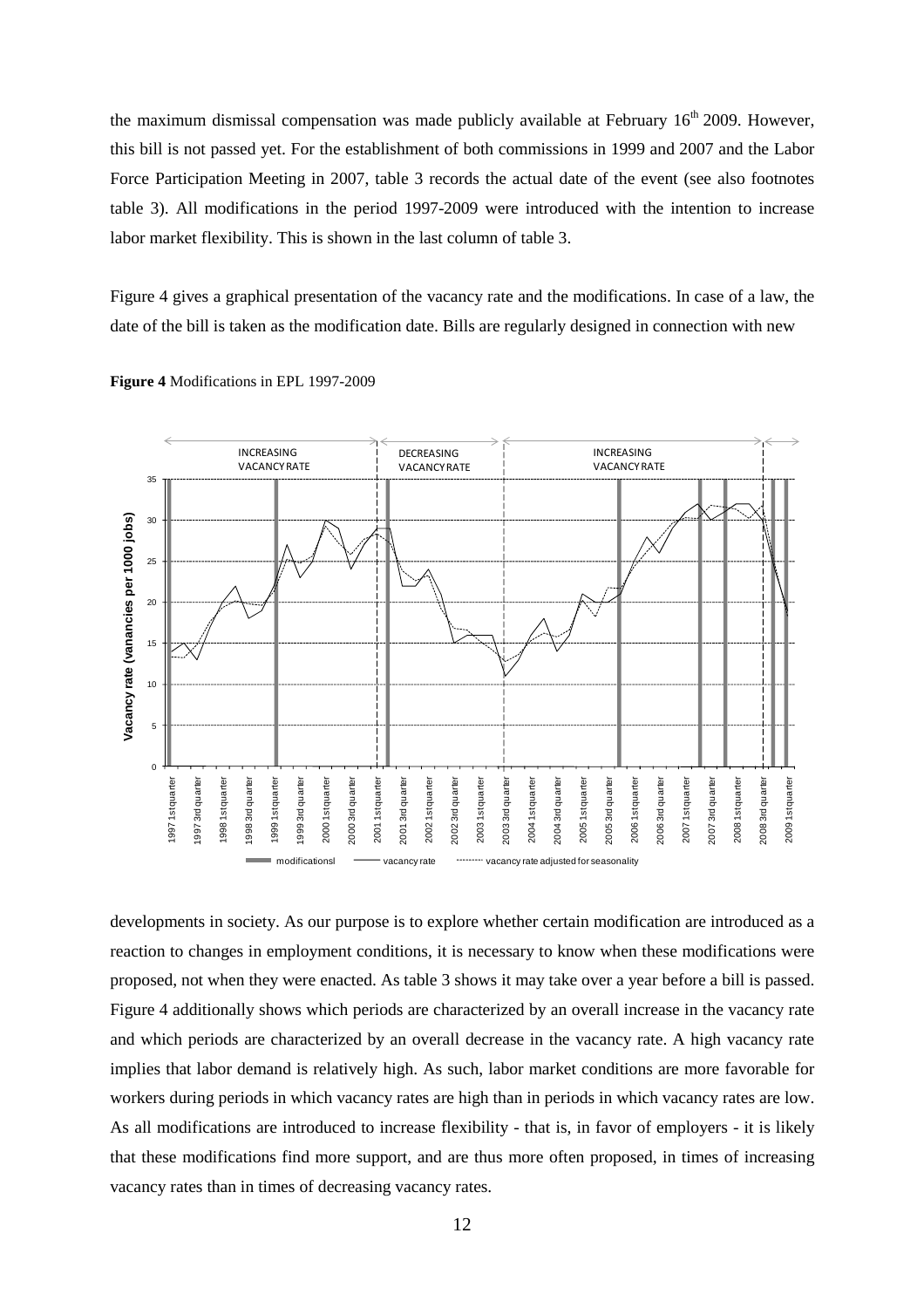the maximum dismissal compensation was made publicly available at February  $16<sup>th</sup> 2009$ . However, this bill is not passed yet. For the establishment of both commissions in 1999 and 2007 and the Labor Force Participation Meeting in 2007, table 3 records the actual date of the event (see also footnotes table 3). All modifications in the period 1997-2009 were introduced with the intention to increase labor market flexibility. This is shown in the last column of table 3.

Figure 4 gives a graphical presentation of the vacancy rate and the modifications. In case of a law, the date of the bill is taken as the modification date. Bills are regularly designed in connection with new



**Figure 4** Modifications in EPL 1997-2009

developments in society. As our purpose is to explore whether certain modification are introduced as a reaction to changes in employment conditions, it is necessary to know when these modifications were proposed, not when they were enacted. As table 3 shows it may take over a year before a bill is passed. Figure 4 additionally shows which periods are characterized by an overall increase in the vacancy rate and which periods are characterized by an overall decrease in the vacancy rate. A high vacancy rate implies that labor demand is relatively high. As such, labor market conditions are more favorable for workers during periods in which vacancy rates are high than in periods in which vacancy rates are low. As all modifications are introduced to increase flexibility - that is, in favor of employers - it is likely that these modifications find more support, and are thus more often proposed, in times of increasing vacancy rates than in times of decreasing vacancy rates.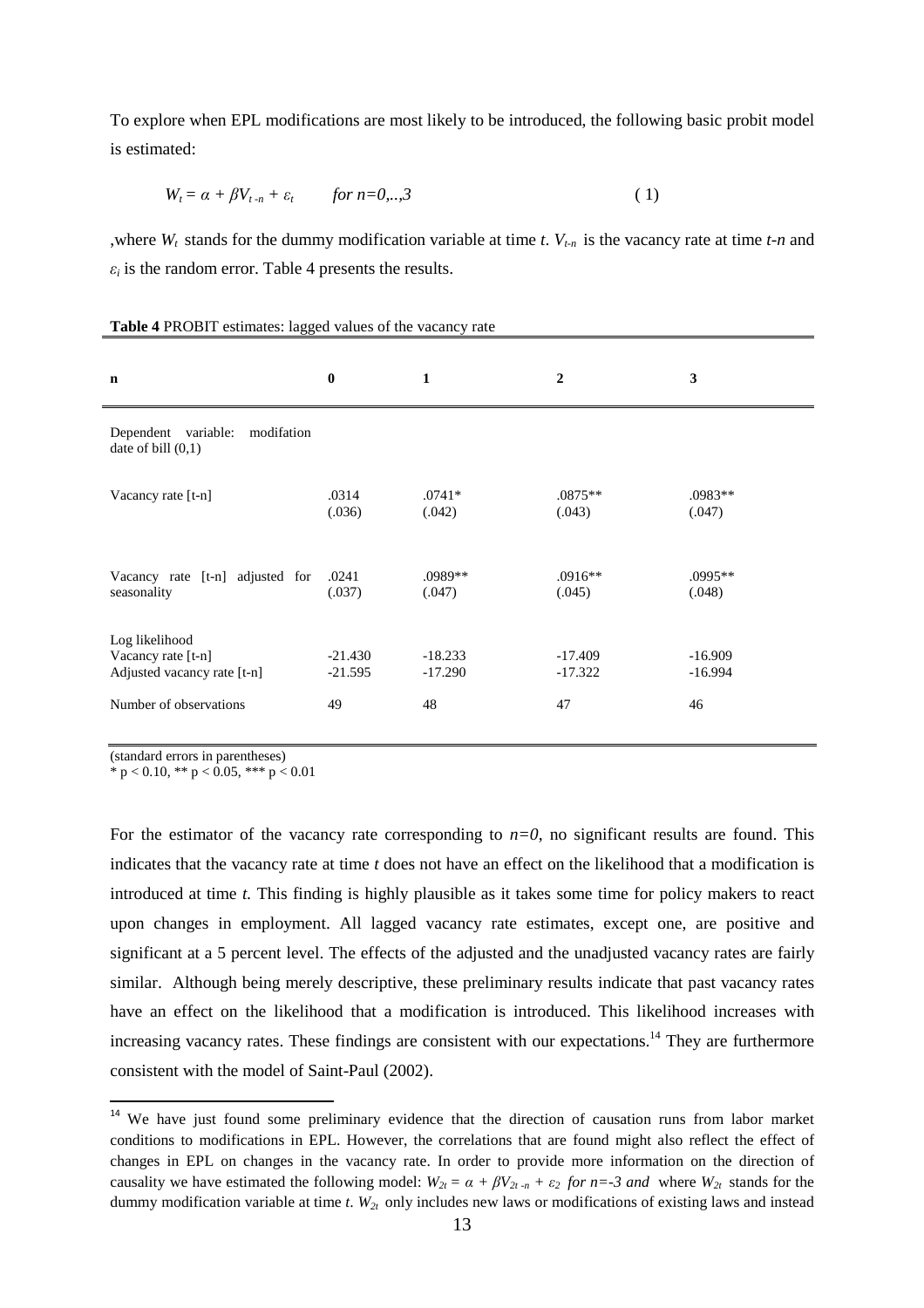To explore when EPL modifications are most likely to be introduced, the following basic probit model is estimated:

$$
W_t = \alpha + \beta V_{t-n} + \varepsilon_t \qquad \text{for } n = 0, \dots, 3
$$
 (1)

,where  $W_t$  stands for the dummy modification variable at time *t*.  $V_{t,n}$  is the vacancy rate at time *t-n* and  $\varepsilon_i$  is the random error. Table 4 presents the results.

| $\mathbf n$                                                         | $\bf{0}$               | $\mathbf{1}$           | $\overline{2}$         | $\mathbf{3}$           |
|---------------------------------------------------------------------|------------------------|------------------------|------------------------|------------------------|
| Dependent variable:<br>modifation<br>date of bill $(0,1)$           |                        |                        |                        |                        |
| Vacancy rate [t-n]                                                  | .0314<br>(.036)        | $.0741*$<br>(.042)     | $.0875**$<br>(.043)    | $.0983**$<br>(.047)    |
| Vacancy rate [t-n] adjusted for<br>seasonality                      | .0241<br>(.037)        | $.0989**$<br>(.047)    | $.0916**$<br>(.045)    | $.0995**$<br>(.048)    |
| Log likelihood<br>Vacancy rate [t-n]<br>Adjusted vacancy rate [t-n] | $-21.430$<br>$-21.595$ | $-18.233$<br>$-17.290$ | $-17.409$<br>$-17.322$ | $-16.909$<br>$-16.994$ |
| Number of observations                                              | 49                     | 48                     | 47                     | 46                     |

#### **Table 4** PROBIT estimates: lagged values of the vacancy rate

(standard errors in parentheses)

l

\* p < 0.10, \*\* p < 0.05, \*\*\* p < 0.01

For the estimator of the vacancy rate corresponding to  $n=0$ , no significant results are found. This indicates that the vacancy rate at time *t* does not have an effect on the likelihood that a modification is introduced at time *t.* This finding is highly plausible as it takes some time for policy makers to react upon changes in employment. All lagged vacancy rate estimates, except one, are positive and significant at a 5 percent level. The effects of the adjusted and the unadjusted vacancy rates are fairly similar. Although being merely descriptive, these preliminary results indicate that past vacancy rates have an effect on the likelihood that a modification is introduced. This likelihood increases with increasing vacancy rates. These findings are consistent with our expectations.<sup>14</sup> They are furthermore consistent with the model of Saint-Paul (2002).

<sup>&</sup>lt;sup>14</sup> We have just found some preliminary evidence that the direction of causation runs from labor market conditions to modifications in EPL. However, the correlations that are found might also reflect the effect of changes in EPL on changes in the vacancy rate. In order to provide more information on the direction of causality we have estimated the following model:  $W_{2t} = \alpha + \beta V_{2t} - n + \epsilon_2$  for  $n = -3$  and where  $W_{2t}$  stands for the dummy modification variable at time *t*.  $W_{2t}$  only includes new laws or modifications of existing laws and instead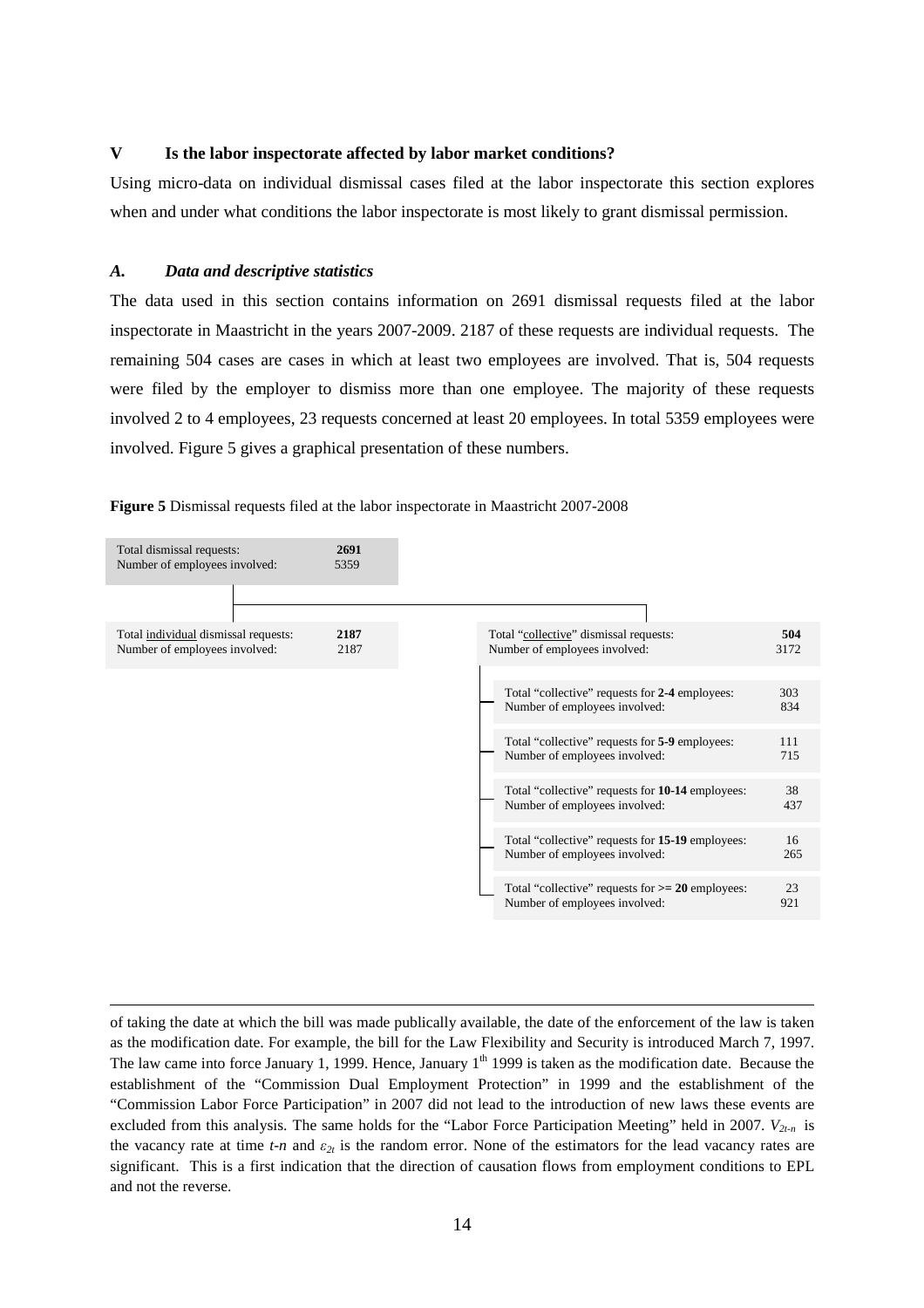### **V Is the labor inspectorate affected by labor market conditions?**

Using micro-data on individual dismissal cases filed at the labor inspectorate this section explores when and under what conditions the labor inspectorate is most likely to grant dismissal permission.

#### *A. Data and descriptive statistics*

 $\overline{a}$ 

The data used in this section contains information on 2691 dismissal requests filed at the labor inspectorate in Maastricht in the years 2007-2009. 2187 of these requests are individual requests. The remaining 504 cases are cases in which at least two employees are involved. That is, 504 requests were filed by the employer to dismiss more than one employee. The majority of these requests involved 2 to 4 employees, 23 requests concerned at least 20 employees. In total 5359 employees were involved. Figure 5 gives a graphical presentation of these numbers.





of taking the date at which the bill was made publically available, the date of the enforcement of the law is taken as the modification date. For example, the bill for the Law Flexibility and Security is introduced March 7, 1997. The law came into force January 1, 1999. Hence, January 1<sup>th</sup> 1999 is taken as the modification date. Because the establishment of the "Commission Dual Employment Protection" in 1999 and the establishment of the "Commission Labor Force Participation" in 2007 did not lead to the introduction of new laws these events are excluded from this analysis. The same holds for the "Labor Force Participation Meeting" held in 2007. *V2t-n* is the vacancy rate at time *t-n* and *ε2t* is the random error. None of the estimators for the lead vacancy rates are significant. This is a first indication that the direction of causation flows from employment conditions to EPL and not the reverse.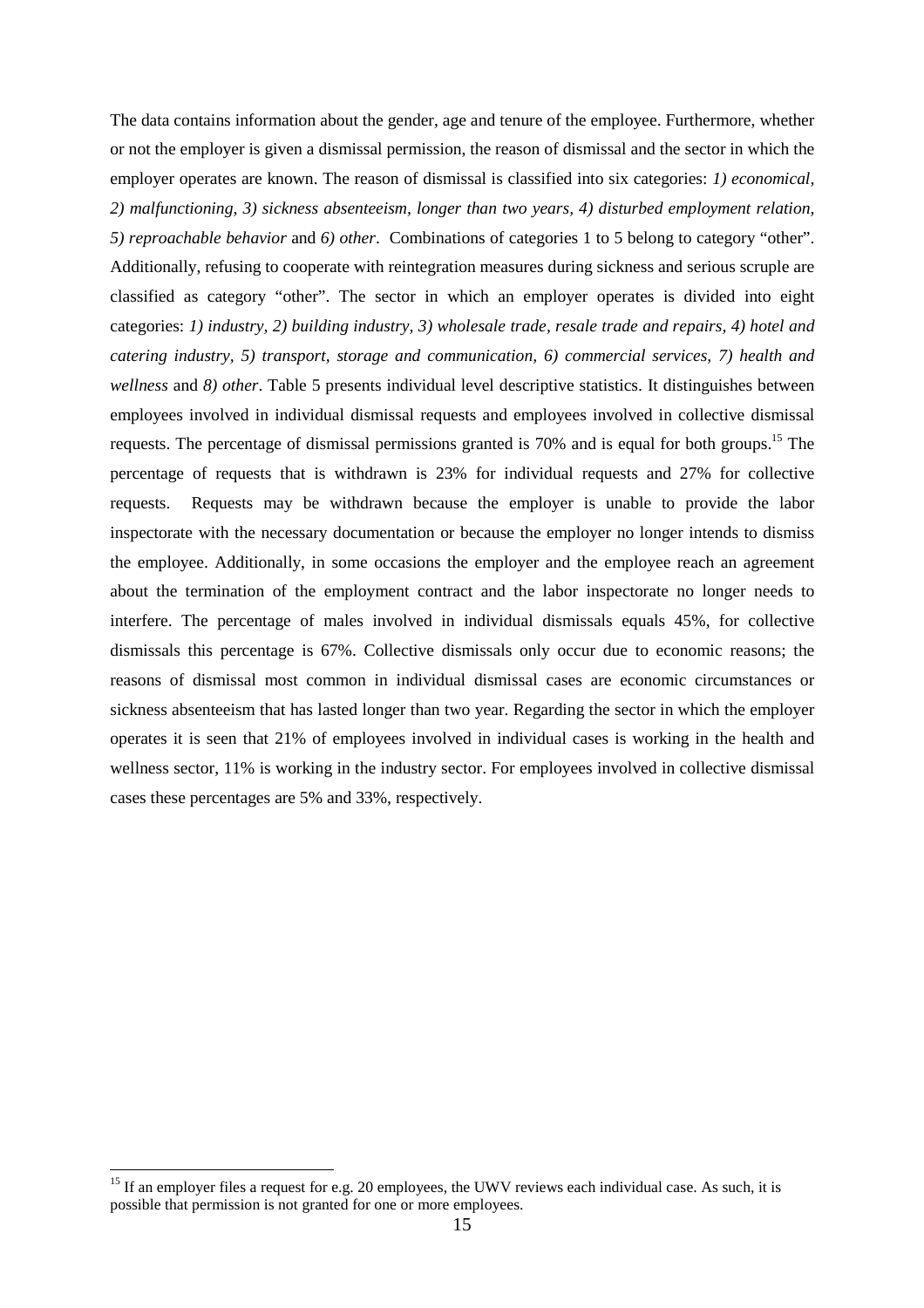The data contains information about the gender, age and tenure of the employee. Furthermore, whether or not the employer is given a dismissal permission, the reason of dismissal and the sector in which the employer operates are known. The reason of dismissal is classified into six categories: *1) economical, 2) malfunctioning, 3) sickness absenteeism, longer than two years, 4) disturbed employment relation, 5) reproachable behavior* and *6) other*. Combinations of categories 1 to 5 belong to category "other". Additionally, refusing to cooperate with reintegration measures during sickness and serious scruple are classified as category "other". The sector in which an employer operates is divided into eight categories: *1) industry, 2) building industry, 3) wholesale trade, resale trade and repairs, 4) hotel and catering industry, 5) transport, storage and communication, 6) commercial services, 7) health and wellness* and *8) other*. Table 5 presents individual level descriptive statistics. It distinguishes between employees involved in individual dismissal requests and employees involved in collective dismissal requests. The percentage of dismissal permissions granted is 70% and is equal for both groups.<sup>15</sup> The percentage of requests that is withdrawn is 23% for individual requests and 27% for collective requests. Requests may be withdrawn because the employer is unable to provide the labor inspectorate with the necessary documentation or because the employer no longer intends to dismiss the employee. Additionally, in some occasions the employer and the employee reach an agreement about the termination of the employment contract and the labor inspectorate no longer needs to interfere. The percentage of males involved in individual dismissals equals 45%, for collective dismissals this percentage is 67%. Collective dismissals only occur due to economic reasons; the reasons of dismissal most common in individual dismissal cases are economic circumstances or sickness absenteeism that has lasted longer than two year. Regarding the sector in which the employer operates it is seen that 21% of employees involved in individual cases is working in the health and wellness sector, 11% is working in the industry sector. For employees involved in collective dismissal cases these percentages are 5% and 33%, respectively.

 $\overline{a}$ 

<sup>&</sup>lt;sup>15</sup> If an employer files a request for e.g. 20 employees, the UWV reviews each individual case. As such, it is possible that permission is not granted for one or more employees.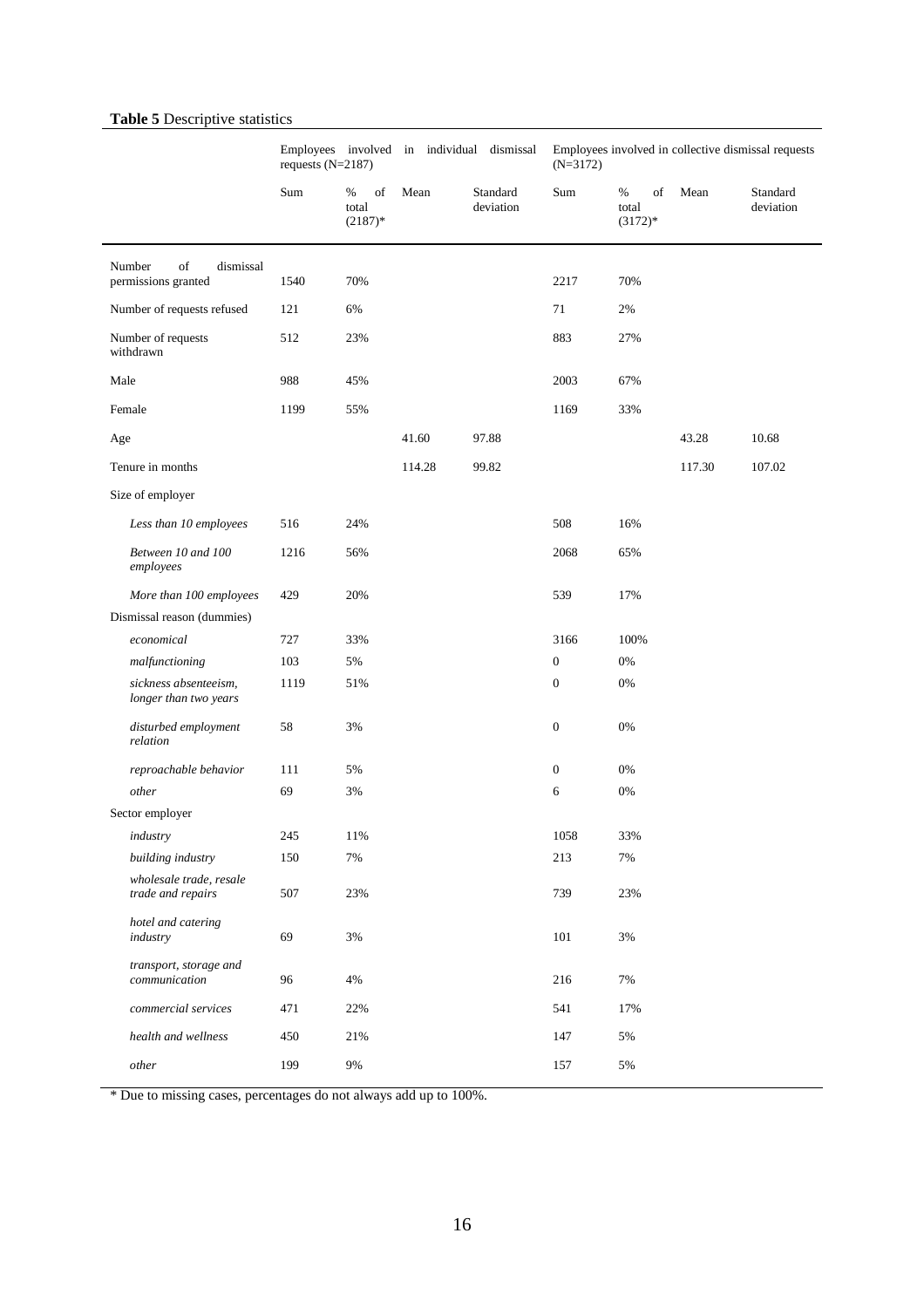# **Table 5** Descriptive statistics

|                                                  |      | Employees involved in individual dismissal<br>requests $(N=2187)$ |        | Employees involved in collective dismissal requests<br>$(N=3172)$ |                  |                               |        |                       |
|--------------------------------------------------|------|-------------------------------------------------------------------|--------|-------------------------------------------------------------------|------------------|-------------------------------|--------|-----------------------|
|                                                  | Sum  | of<br>%<br>total<br>$(2187)*$                                     | Mean   | Standard<br>deviation                                             | Sum              | %<br>of<br>total<br>$(3172)*$ | Mean   | Standard<br>deviation |
| of<br>Number<br>dismissal<br>permissions granted | 1540 | 70%                                                               |        |                                                                   | 2217             | 70%                           |        |                       |
| Number of requests refused                       | 121  | 6%                                                                |        |                                                                   | 71               | 2%                            |        |                       |
| Number of requests<br>withdrawn                  | 512  | 23%                                                               |        |                                                                   | 883              | 27%                           |        |                       |
| Male                                             | 988  | 45%                                                               |        |                                                                   | 2003             | 67%                           |        |                       |
| Female                                           | 1199 | 55%                                                               |        |                                                                   | 1169             | 33%                           |        |                       |
| Age                                              |      |                                                                   | 41.60  | 97.88                                                             |                  |                               | 43.28  | 10.68                 |
| Tenure in months                                 |      |                                                                   | 114.28 | 99.82                                                             |                  |                               | 117.30 | 107.02                |
| Size of employer                                 |      |                                                                   |        |                                                                   |                  |                               |        |                       |
| Less than 10 employees                           | 516  | 24%                                                               |        |                                                                   | 508              | 16%                           |        |                       |
| Between 10 and 100<br>employees                  | 1216 | 56%                                                               |        |                                                                   | 2068             | 65%                           |        |                       |
| More than 100 employees                          | 429  | 20%                                                               |        |                                                                   | 539              | 17%                           |        |                       |
| Dismissal reason (dummies)                       |      |                                                                   |        |                                                                   |                  |                               |        |                       |
| economical                                       | 727  | 33%                                                               |        |                                                                   | 3166             | 100%                          |        |                       |
| malfunctioning                                   | 103  | 5%                                                                |        |                                                                   | $\mathbf{0}$     | 0%                            |        |                       |
| sickness absenteeism,<br>longer than two years   | 1119 | 51%                                                               |        |                                                                   | $\boldsymbol{0}$ | 0%                            |        |                       |
| disturbed employment<br>relation                 | 58   | 3%                                                                |        |                                                                   | $\mathbf{0}$     | 0%                            |        |                       |
| reproachable behavior                            | 111  | 5%                                                                |        |                                                                   | $\boldsymbol{0}$ | 0%                            |        |                       |
| other                                            | 69   | 3%                                                                |        |                                                                   | 6                | 0%                            |        |                       |
| Sector employer                                  |      |                                                                   |        |                                                                   |                  |                               |        |                       |
| industry                                         | 245  | 11%                                                               |        |                                                                   | 1058             | 33%                           |        |                       |
| building industry                                | 150  | 7%                                                                |        |                                                                   | 213              | 7%                            |        |                       |
| wholesale trade, resale<br>trade and repairs     | 507  | 23%                                                               |        |                                                                   | 739              | 23%                           |        |                       |
| hotel and catering<br>industry                   | 69   | 3%                                                                |        |                                                                   | 101              | 3%                            |        |                       |
| transport, storage and<br>communication          | 96   | 4%                                                                |        |                                                                   | 216              | 7%                            |        |                       |
| commercial services                              | 471  | 22%                                                               |        |                                                                   | 541              | 17%                           |        |                       |
| health and wellness                              | 450  | 21%                                                               |        |                                                                   | 147              | 5%                            |        |                       |
| other                                            | 199  | 9%                                                                |        |                                                                   | 157              | 5%                            |        |                       |

\* Due to missing cases, percentages do not always add up to 100%.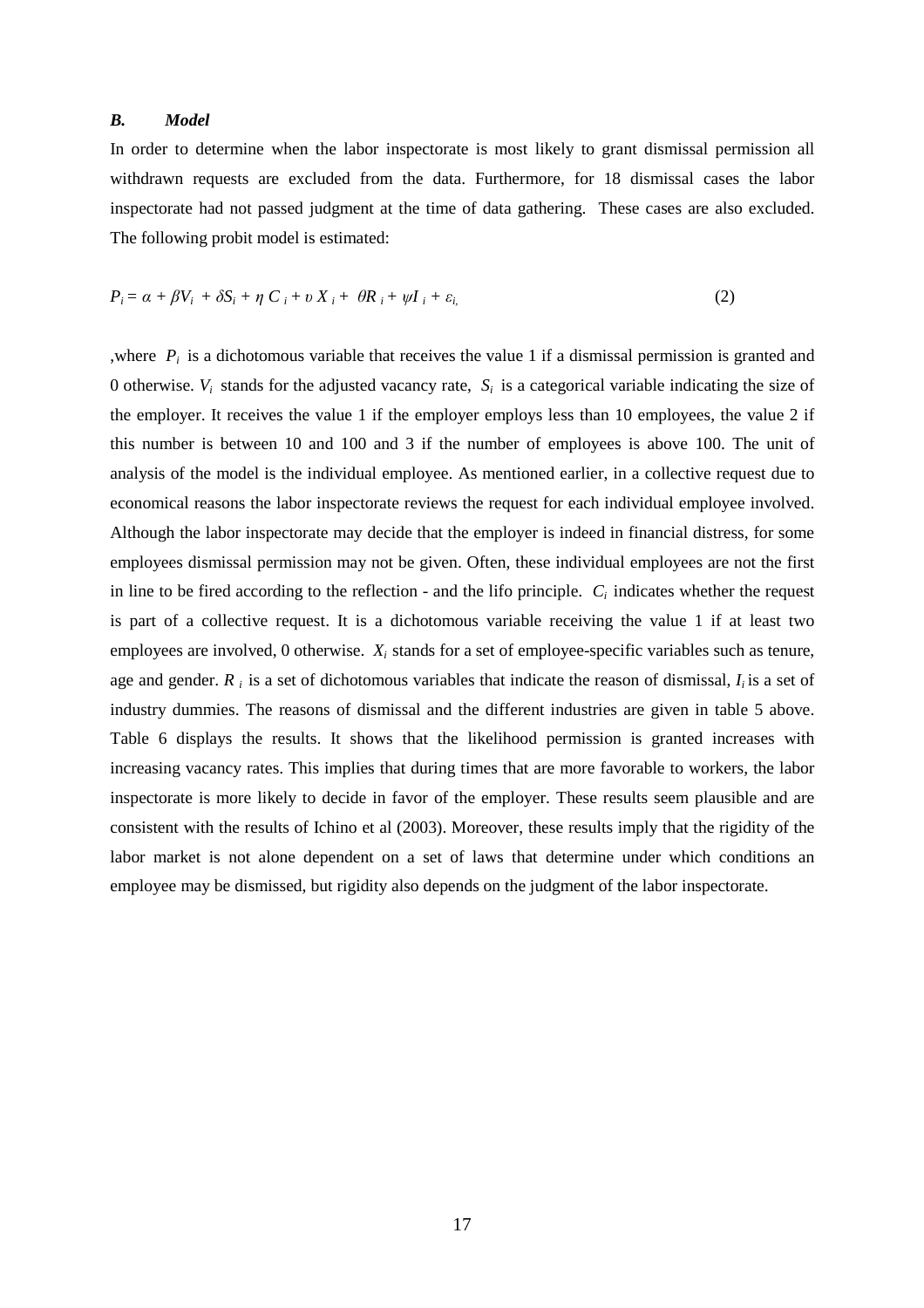### *B. Model*

In order to determine when the labor inspectorate is most likely to grant dismissal permission all withdrawn requests are excluded from the data. Furthermore, for 18 dismissal cases the labor inspectorate had not passed judgment at the time of data gathering. These cases are also excluded. The following probit model is estimated:

$$
P_i = \alpha + \beta V_i + \delta S_i + \eta C_i + \nu X_i + \theta R_i + \psi I_i + \varepsilon_{i}
$$
\n<sup>(2)</sup>

,where  $P_i$  is a dichotomous variable that receives the value 1 if a dismissal permission is granted and 0 otherwise.  $V_i$  stands for the adjusted vacancy rate,  $S_i$  is a categorical variable indicating the size of the employer. It receives the value 1 if the employer employs less than 10 employees, the value 2 if this number is between 10 and 100 and 3 if the number of employees is above 100. The unit of analysis of the model is the individual employee. As mentioned earlier, in a collective request due to economical reasons the labor inspectorate reviews the request for each individual employee involved. Although the labor inspectorate may decide that the employer is indeed in financial distress, for some employees dismissal permission may not be given. Often, these individual employees are not the first in line to be fired according to the reflection - and the lifo principle.  $C_i$  indicates whether the request is part of a collective request. It is a dichotomous variable receiving the value 1 if at least two employees are involved, 0 otherwise.  $X_i$  stands for a set of employee-specific variables such as tenure, age and gender. *R i* is a set of dichotomous variables that indicate the reason of dismissal, *Ii* is a set of industry dummies. The reasons of dismissal and the different industries are given in table 5 above. Table 6 displays the results. It shows that the likelihood permission is granted increases with increasing vacancy rates. This implies that during times that are more favorable to workers, the labor inspectorate is more likely to decide in favor of the employer. These results seem plausible and are consistent with the results of Ichino et al (2003). Moreover, these results imply that the rigidity of the labor market is not alone dependent on a set of laws that determine under which conditions an employee may be dismissed, but rigidity also depends on the judgment of the labor inspectorate.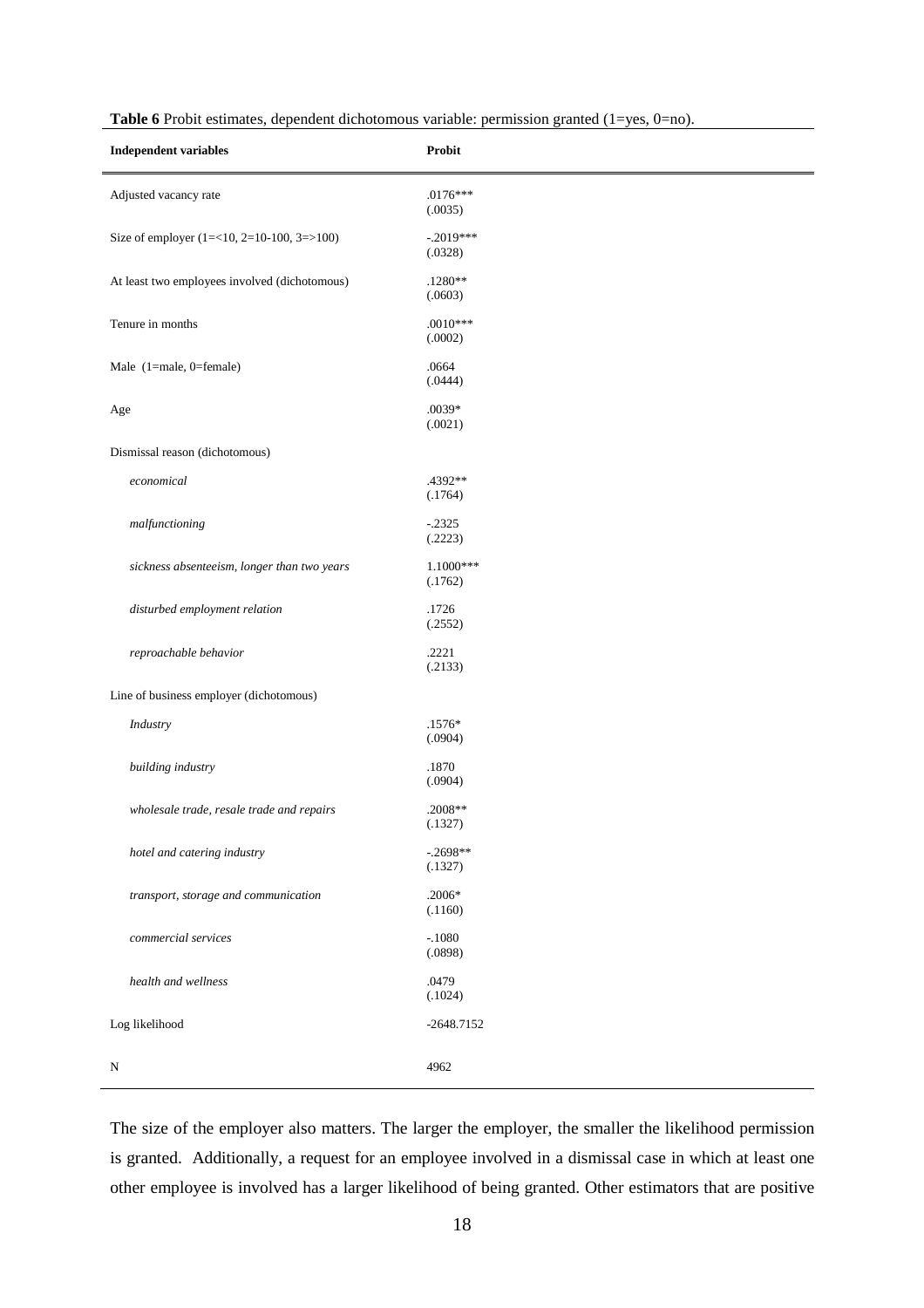| <b>Independent variables</b>                  | Probit                 |
|-----------------------------------------------|------------------------|
| Adjusted vacancy rate                         | $.0176***$<br>(.0035)  |
| Size of employer $(1=<10, 2=10-100, 3=>100)$  | $-.2019***$<br>(.0328) |
| At least two employees involved (dichotomous) | $.1280**$<br>(.0603)   |
| Tenure in months                              | $.0010***$<br>(.0002)  |
| Male (1=male, 0=female)                       | .0664<br>(.0444)       |
| Age                                           | $.0039*$<br>(.0021)    |
| Dismissal reason (dichotomous)                |                        |
| economical                                    | .4392**<br>(.1764)     |
| malfunctioning                                | $-.2325$<br>(.2223)    |
| sickness absenteeism, longer than two years   | $1.1000***$<br>(.1762) |
| disturbed employment relation                 | .1726<br>(.2552)       |
| reproachable behavior                         | .2221<br>(.2133)       |
| Line of business employer (dichotomous)       |                        |
| Industry                                      | $.1576*$<br>(.0904)    |
| building industry                             | .1870<br>(.0904)       |
| wholesale trade, resale trade and repairs     | .2008**<br>(.1327)     |
| hotel and catering industry                   | $-.2698**$<br>(.1327)  |
| transport, storage and communication          | $.2006*$<br>(.1160)    |
| commercial services                           | $-.1080$<br>(.0898)    |
| health and wellness                           | .0479<br>(.1024)       |
| Log likelihood                                | $-2648.7152$           |
| N                                             | 4962                   |

Table 6 Probit estimates, dependent dichotomous variable: permission granted (1=yes, 0=no).

The size of the employer also matters. The larger the employer, the smaller the likelihood permission is granted. Additionally, a request for an employee involved in a dismissal case in which at least one other employee is involved has a larger likelihood of being granted. Other estimators that are positive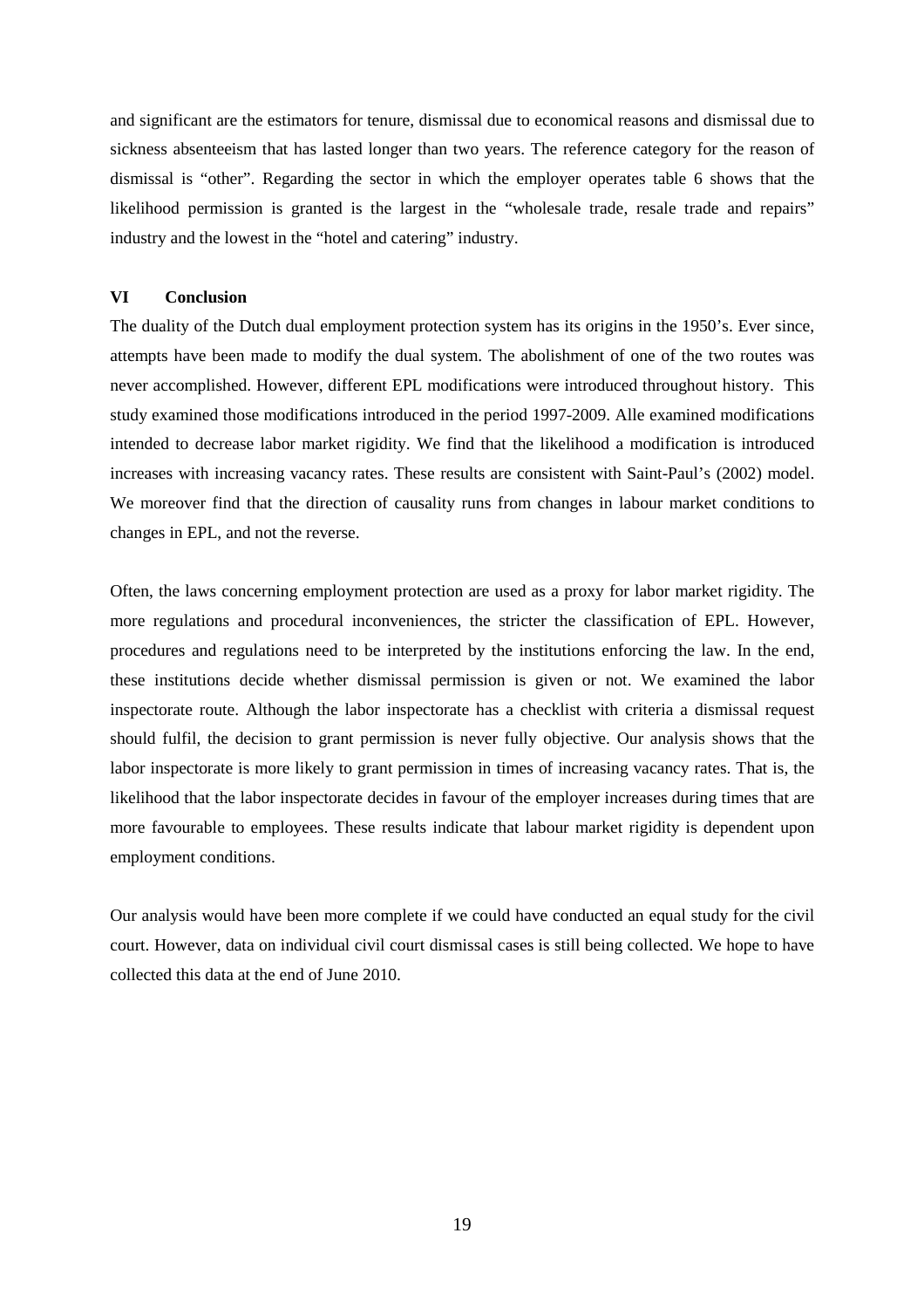and significant are the estimators for tenure, dismissal due to economical reasons and dismissal due to sickness absenteeism that has lasted longer than two years. The reference category for the reason of dismissal is "other". Regarding the sector in which the employer operates table 6 shows that the likelihood permission is granted is the largest in the "wholesale trade, resale trade and repairs" industry and the lowest in the "hotel and catering" industry.

### **VI Conclusion**

The duality of the Dutch dual employment protection system has its origins in the 1950's. Ever since, attempts have been made to modify the dual system. The abolishment of one of the two routes was never accomplished. However, different EPL modifications were introduced throughout history. This study examined those modifications introduced in the period 1997-2009. Alle examined modifications intended to decrease labor market rigidity. We find that the likelihood a modification is introduced increases with increasing vacancy rates. These results are consistent with Saint-Paul's (2002) model. We moreover find that the direction of causality runs from changes in labour market conditions to changes in EPL, and not the reverse.

Often, the laws concerning employment protection are used as a proxy for labor market rigidity. The more regulations and procedural inconveniences, the stricter the classification of EPL. However, procedures and regulations need to be interpreted by the institutions enforcing the law. In the end, these institutions decide whether dismissal permission is given or not. We examined the labor inspectorate route. Although the labor inspectorate has a checklist with criteria a dismissal request should fulfil, the decision to grant permission is never fully objective. Our analysis shows that the labor inspectorate is more likely to grant permission in times of increasing vacancy rates. That is, the likelihood that the labor inspectorate decides in favour of the employer increases during times that are more favourable to employees. These results indicate that labour market rigidity is dependent upon employment conditions.

Our analysis would have been more complete if we could have conducted an equal study for the civil court. However, data on individual civil court dismissal cases is still being collected. We hope to have collected this data at the end of June 2010.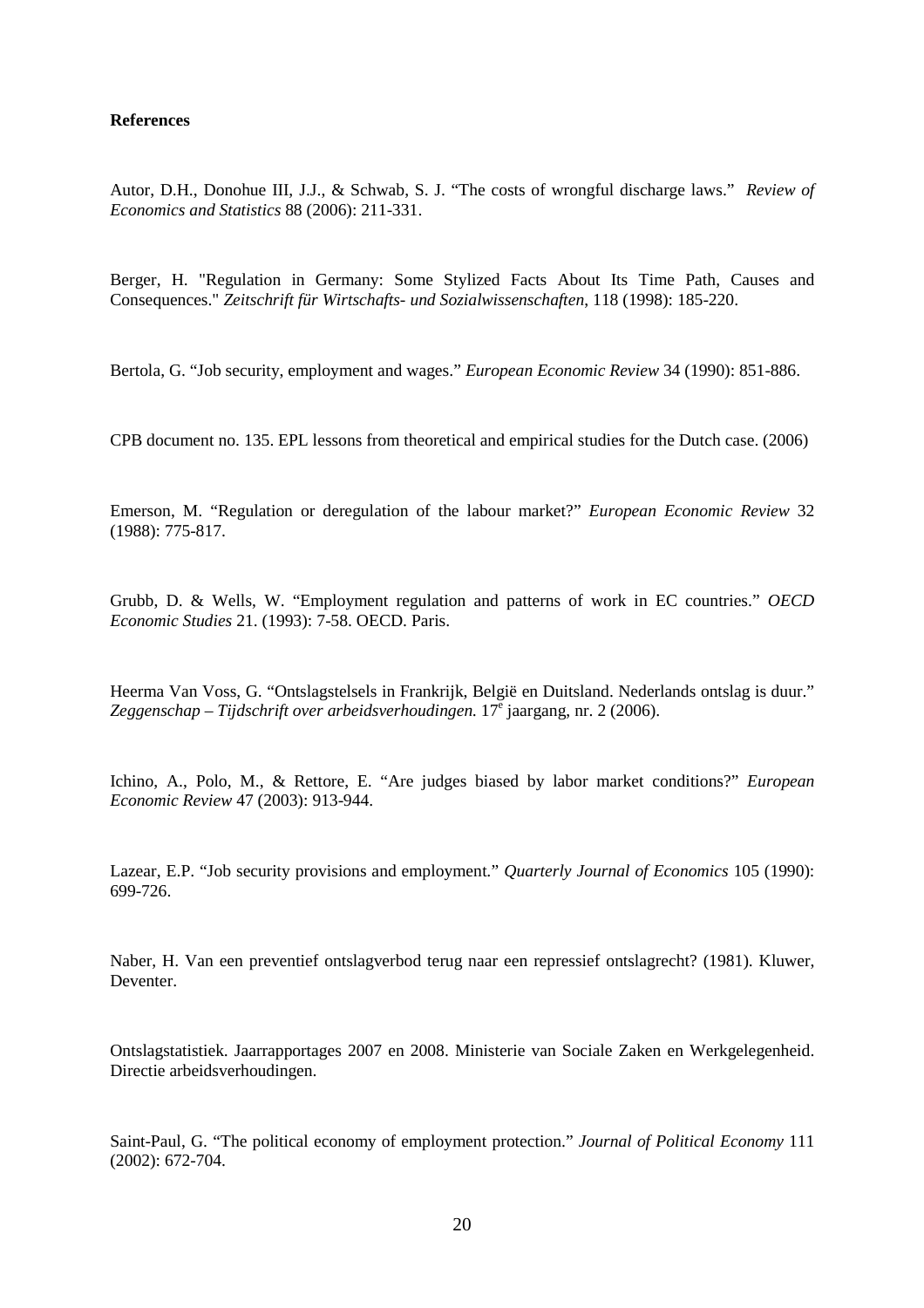### **References**

Autor, D.H., Donohue III, J.J., & Schwab, S. J. "The costs of wrongful discharge laws." *Review of Economics and Statistics* 88 (2006): 211-331.

Berger, H. "Regulation in Germany: Some Stylized Facts About Its Time Path, Causes and Consequences." *Zeitschrift für Wirtschafts- und Sozialwissenschaften*, 118 (1998): 185-220.

Bertola, G. "Job security, employment and wages." *European Economic Review* 34 (1990): 851-886.

CPB document no. 135. EPL lessons from theoretical and empirical studies for the Dutch case. (2006)

Emerson, M. "Regulation or deregulation of the labour market?" *European Economic Review* 32 (1988): 775-817.

Grubb, D. & Wells, W. "Employment regulation and patterns of work in EC countries." *OECD Economic Studies* 21. (1993): 7-58. OECD. Paris.

Heerma Van Voss, G. "Ontslagstelsels in Frankrijk, België en Duitsland. Nederlands ontslag is duur." Zeggenschap – Tijdschrift over arbeidsverhoudingen. 17<sup>e</sup> jaargang, nr. 2 (2006).

Ichino, A., Polo, M., & Rettore, E. "Are judges biased by labor market conditions?" *European Economic Review* 47 (2003): 913-944.

Lazear, E.P. "Job security provisions and employment*.*" *Quarterly Journal of Economics* 105 (1990): 699-726.

Naber, H. Van een preventief ontslagverbod terug naar een repressief ontslagrecht? (1981). Kluwer, Deventer.

Ontslagstatistiek. Jaarrapportages 2007 en 2008. Ministerie van Sociale Zaken en Werkgelegenheid. Directie arbeidsverhoudingen.

Saint-Paul, G. "The political economy of employment protection." *Journal of Political Economy* 111 (2002): 672-704.